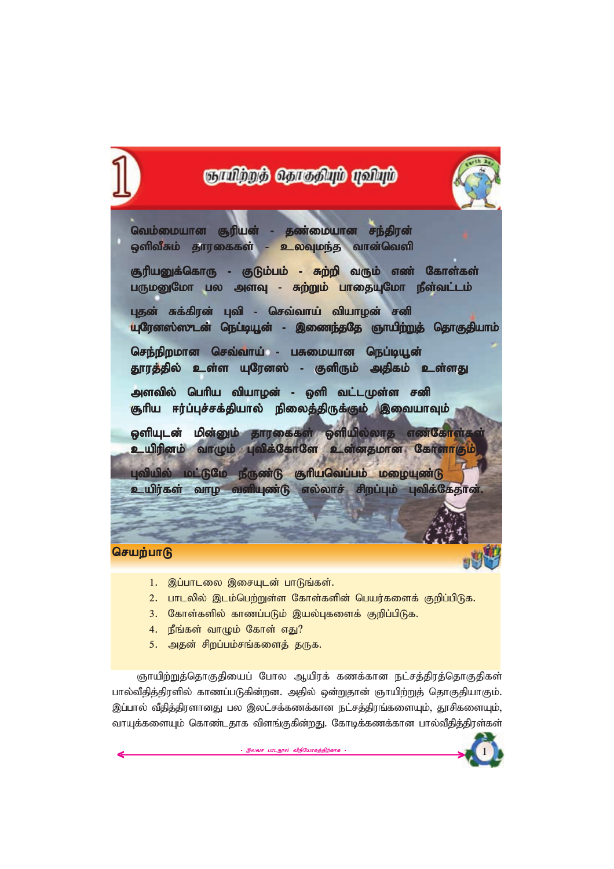

- 1. இப்பாடலை இசையுடன் பாடுங்கள்.
- 2. பாடலில் இடம்பெற்றுள்ள கோள்களின் பெயர்களைக் குறிப்பிடுக.
- 3. கோள்களில் காணப்படும் இயல்புகளைக் குறிப்பிடுக.
- 4. நீங்கள் வாழும் கோள் எது?
- 5. அதன் சிறப்பம்சங்களைத் தருக.

<mark>ஞாயிற்றுத்தொகுதியைப் போல ஆயிரக் கணக்கான நட்சத்திரத்தொகுதிகள்</mark> பால்வீதித்திரளில் காணப்படுகின்றன. அதில் ஒன்றுதான் ஞாயிற்றுத் தொகுதியாகும். இப்பால் வீதித்திரளானது பல இலட்சக்கணக்கான நட்சத்திரங்களையும், தூசிகளையும், வாயுக்களையும் கொண்டதாக விளங்குகின்றது. கோடிக்கணக்கான பால்வீதித்திரள்கள்

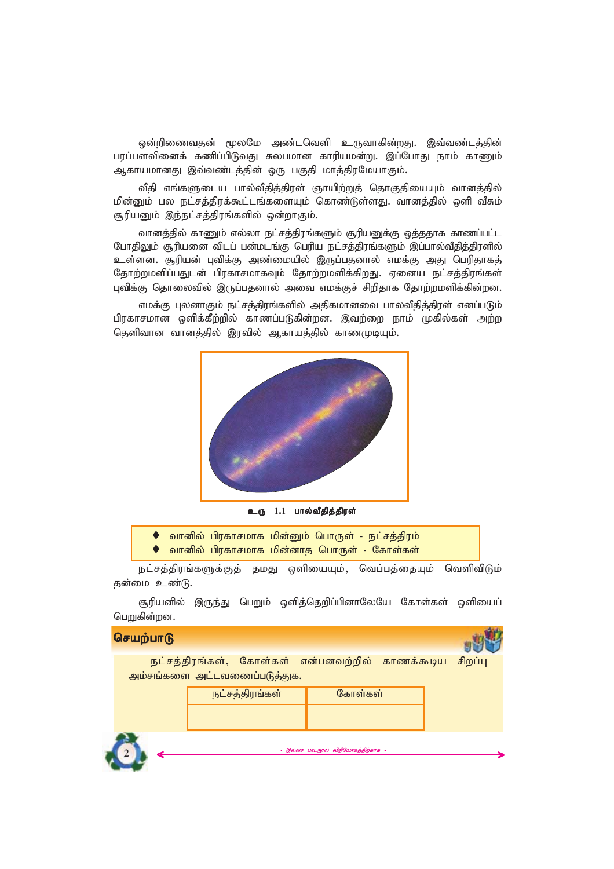ஒன்றிணைவதன் மூலமே அண்டவெளி உருவாகின்றது. இவ்வண்டத்தின் பரப்பளவினைக் கணிப்பிடுவது சுலபமான காரியமன்று. இப்போது நாம் காணும் ஆகாயமானது இவ்வண்டத்தின் ஒரு பகுதி மாத்திரமேயாகும்.

வீகி எங்களுடைய பால்வீதித்திரள் ஞாயிற்றுத் தொகுதியையும் வானத்தில் *மி*ன்னும் பல நட்சத்திரக்கூட்டங்களையும் கொண்டுள்ளது. வானத்தில் ஒளி வீசும் சூரியனும் இந்நட்சத்திரங்களில் ஒன்றாகும்.

வானத்தில் காணும் எல்லா நட்சத்திரங்களும் சூரியனுக்கு ஒத்ததாக காணப்பட்ட போதிலும் சூரியனை விடப் பன்மடங்கு பெரிய நட்சத்திரங்களும் இப்பால்வீதித்திரளில் உள்ளன. சூரியன் புவிக்கு அண்மையில் இருப்பதனால் எமக்கு அது பெரிதாகத் தோற்றமளிப்பதுடன் பிரகாசமாகவும் தோற்றமளிக்கிறது. ஏனைய நட்சத்திரங்கள் புவிக்கு தொலைவில் இருப்பதனால் அவை எமக்குச் சிறிதாக தோற்றமளிக்கின்றன.

எமக்கு புலனாகும் நட்சத்திரங்களில் அதிகமானவை பாலவீதித்திரள் எனப்படும் பிரகாசமான ஒளிக்கீற்றில் காணப்படுகின்றன. இவற்றை நாம் முகில்கள் அற்ற தெளிவான வானத்தில் இரவில் ஆகாயத்தில் காணமுடியும்.



உரு 1.1 பால்வீதித்திரள்

|  |  | • வானில் பிரகாசமாக மின்னும் பொருள் - நட்சத்திரம் |  |
|--|--|--------------------------------------------------|--|
|  |  | • வானில் பிரகாசமாக மின்னாத பொருள் - கோள்கள்      |  |

நட்சத்திரங்களுக்குத் தமது ஒளியையும், வெப்பத்தையும் வெளிவிடும் தன்மை உண்டு.

சூரியனில் இருந்து பெறும் ஒளித்தெறிப்பினாலேயே கோள்கள் ஒளியைப் **பெ**றுகின்றன.

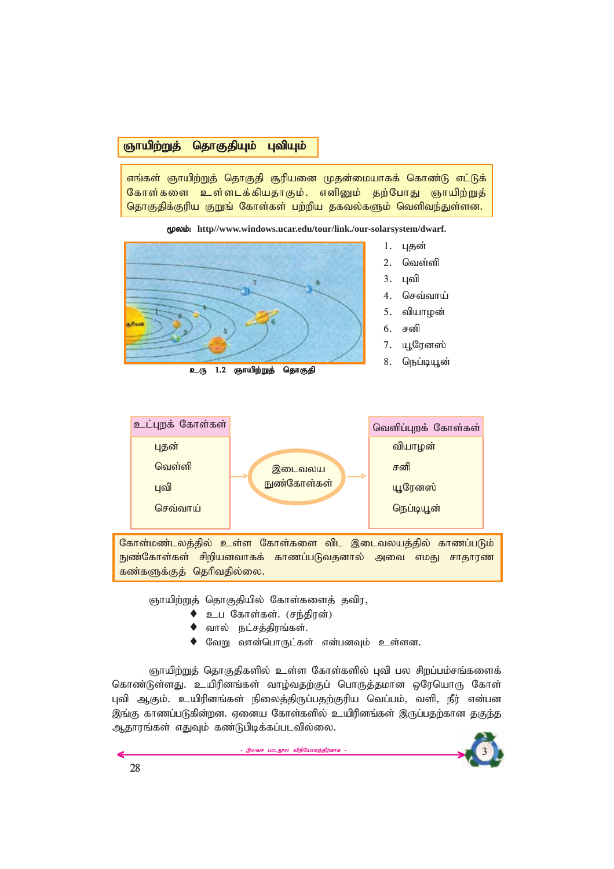# <mark>ஞாயிற்றுத் தொகுதியும் புவியும்</mark>

எங்கள் ஞாயிற்றுத் தொகுதி சூரியனை முதன்மையாகக் கொண்டு எட்டுக் கோள்களை உள்ளடக்கியதாகும். எனினும் தற்போது ஞாயிற்றுத் தொகுதிக்குரிய குறுங் கோள்கள் பற்றிய தகவல்களும் வெளிவந்துள்ளன.

*%yk;:* **http//www.windows.ucar.edu/tour/link./our-solarsystem/dwarf.**



உரு 1.2 ஞாயிற்றுத் தொகுதி

- 
- 
- **4. செவ்வாய்**
- 5. வியாமன்
- 7. யூரேனஸ்
- 8. **நெப்டியூன்**



கோள்மண்டலத்தில் உள்ள கோள்களை விட இடைவலயத்தில் காணப்படும் ்நுண்கோள்கள் சிறியனவாகக் காணப்படுவதனால் அவை எமது சாதாரண கண்களுக்குத் தெரிவதில்லை.

ஞாயிற்றுத் தொகுதியில் கோள்களைத் தவிர,

- ♦ *cg Nfhs;fs;. (re;jpud;)*
- $\bullet$  வால் நட்சத்திரங்கள்.
- $\blacklozenge$  வேறு வான்பொருட்கள் என்பனவும் உள்ளன.

ஞாயிற்றுத் தொகுதிகளில் உள்ள கோள்களில் புவி பல சிறப்பம்சங்களைக் கொண்டுள்ளது. உயிரினங்கள் வாழ்வதற்குப் பொருத்தமான ஒரேயொரு கோள் புவி ஆகும். உயிரினங்கள் நிலைத்திருப்பதற்குரிய வெப்பம், வளி, நீர் என்பன இங்கு காணப்படுகின்றன. ஏனைய கோள்களில் உயிரினங்கள் இருப்பதற்கான தகு<u>ந்</u>த ஆதாரங்கள் எதுவும் கண்டுபிடிக்கப்படவில்லை.

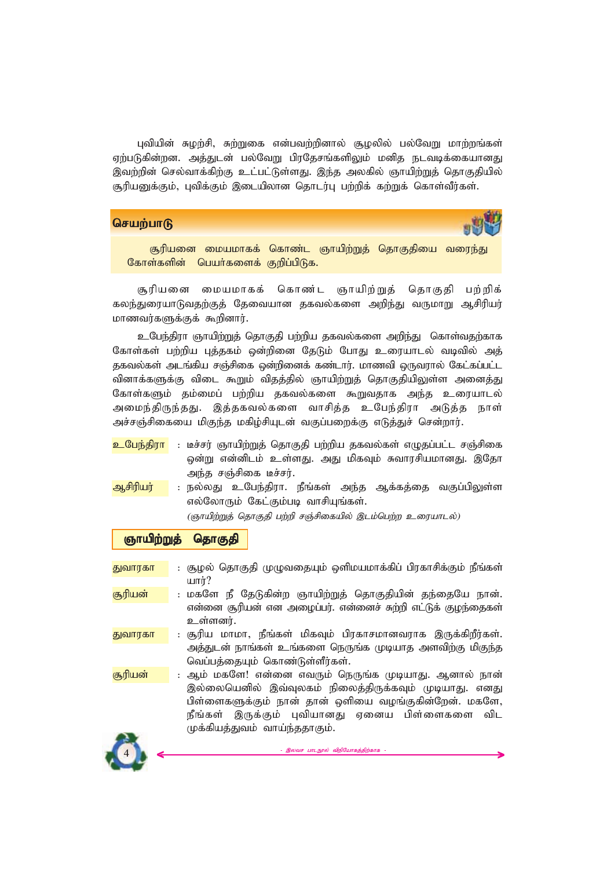புவியின் சுழற்சி, சுற்றுகை என்பவற்றினால் சூழலில் பல்வேறு மாற்றங்கள் ஏற்படுகின்றன. அத்துடன் பல்வேறு பிரதேசங்களிலும் மனித நடவடிக்கையானது இவற்றின் செல்வாக்கிற்கு உட்பட்டுள்ளது. இந்த அலகில் ஞாயிற்றுத் தொகுதியில் சூரியனுக்கும், புவிக்கும் இடையிலான தொடர்பு பற்றிக் கற்றுக் கொள்வீர்கள்.

#### **செயற்பாடு**



<mark>சூரியனை மையமாகக் கொண்ட ஞாயிற்றுத் தொகுதியை வரைந்து</mark> கோள்களின் பெயர்களைக் குறிப்பிடுக.

சூரியனை மையமாகக் கொண்ட ஞாயிற்றுத் தொகுதி பற்றிக் கலந்துரையாடுவதற்குத் தேவையான தகவல்களை அறிந்து வருமாறு ஆசிரியர் *khztu;fSf;Ff; \$wpdhu;.*

*cNge;jpuh Qhapw;Wj; njhFjp gw;wpa jfty;fis mwpe;J nfhs;tjw;fhf* கோள்கள் பற்றிய புத்தகம் ஒன்றினை தேடும் போது உரையாடல் வடிவில் அத் தகவல்கள் அடங்கிய சஞ்சிகை ஒன்றினைக் கண்டார். மாணவி ஒருவரால் கேட்கப்பட்ட வினாக்களுக்கு விடை கூறும் விதத்தில் ஞாயிற்றுத் தொகுதியிலுள்ள அனைத்து கோள்களும் தம்மைப் பற்றிய தகவல்களை கூறுவதாக அந்த உரையாடல் அமைந்திருந்தது. இத்தகவல்களை வாசித்த உபேந்திரா அடுத்த நாள் அச்சஞ்சிகையை மிகுந்த மகிழ்சியுடன் வகுப்பறைக்கு எடுத்துச் சென்றார்.

- <mark>உபேந்திரா</mark> : டீச்சர் ஞாயிற்றுத் தொகுதி பற்றிய தகவல்கள் எழுதப்பட்ட சஞ்சிகை ஒன்று என்னிடம் உள்ளது. அது மிகவும் சுவாரசியமானது. இதோ அந்த சஞ்சிகை டீச்சர்.
- <mark>ஆசிரியர் –</mark> : நல்லது உபேந்திரா. நீங்கள் அந்த ஆக்கத்தை வகுப்பிலுள்ள எல்லோரும் கேட்கும்படி வாசியுங்கள்.

*(ஞாயிற்றுத் தொகுதி பற்றி சஞ்சிகையில் இடம்பெற்ற உரையாடல்)* 

# ஞாயிற்றுத் தொகுதி

- <mark>துவாரகா </mark> : சூழல் தொகுதி முழுவதையும் ஒளிமயமாக்கிப் பிரகாசிக்கும் நீங்கள் *ahu;?*
- <mark>சூரியன் : மகளே நீ தேடுகின்ற ஞாயிற்றுத் தொகுதியின் தந்தையே நான்.</mark> என்னை சூரியன் என அழைப்பர். என்னைச் சுற்றி எட்டுக் குழந்தைகள் உள்ளனர்.
- <mark>துவாரகா :</mark> சூரிய மாமா, நீங்கள் மிகவும் பிரகாசமானவராக இருக்கிறீர்கள். அத்துடன் நாங்கள் உங்களை நெருங்க முடியாத அளவிற்கு மிகுந்த வெப்பத்தையும் கொண்டுள்ளீர்கள்.

<mark>சூரியன் : ஆ</mark>ம் மகளே! என்னை எவரும் நெருங்க முடியாது. ஆனால் நான் இல்லையெனில் இவ்வுலகம் நிலைத்திருக்கவும் முடியாது. எனது பிள்ளைகளுக்கும் நான் தான் ஒளியை வழங்குகின்றேன். மகளே, நீங்கள் இருக்கும் புவியானது ஏனைய பிள்ளைகளை விட *Kf;fpaj;Jtk; tha;e;jjhFk;.*

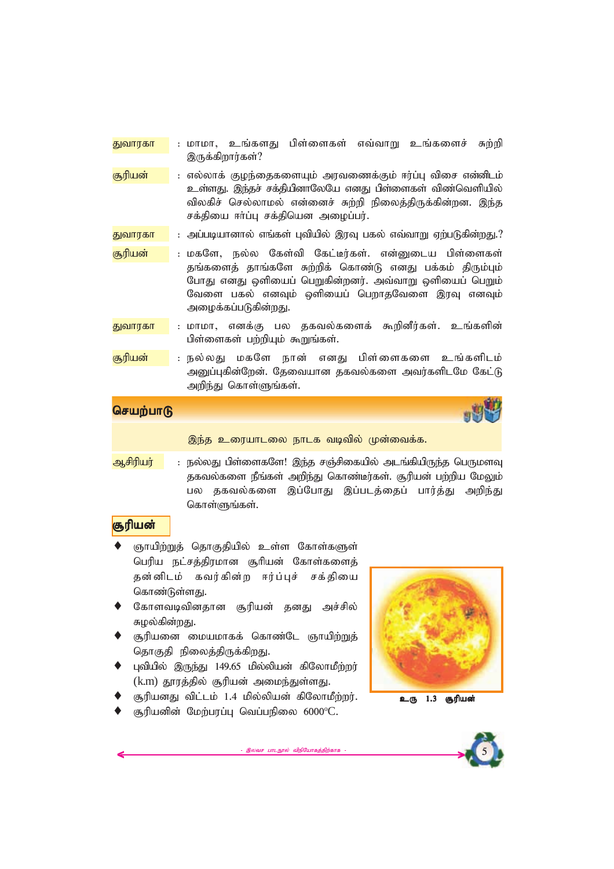- ்<mark>துவாரகா</mark> : மாமா, உங்களது பிள்ளைகள் எவ்வாறு உங்களைச் சுற்றி இருக்கிறார்கள்?
- <mark>சூரியன் </mark> : எல்லாக் குழந்தைகளையும் அரவணைக்கும் ஈர்ப்பு விசை என்னிடம் உள்ளது. இந்தச் சக்தியினாலேயே எனது பிள்ளைகள் விண்வெளியில் விலகிச் செல்லாமல் என்னைச் சுற்றி நிலைத்திருக்கின்றன. இந்த *rf;jpia <h;g;G rf;jpnad miog;gu;.*
- <mark>துவாரகா : அப்ப</mark>டியானால் எங்கள் பவியில் இரவு பகல் எவ்வாறு ஏற்படுகின்றது.?
- <mark>சூரியன் –</mark> : மகளே, நல்ல கேள்வி கேட்டீர்கள். என்னுடைய பிள்ளைகள் தங்களைத் தாங்களே சுற்றிக் கொண்டு எனது பக்கம் திரும்பும் *NghJ vdJ xspiag; ngWfpd;wdu;. mt;thW xspiag; ngWk;* வேளை பகல் எனவும் ஒளியைப் பெறாதவேளை இரவு எனவும் அழைக்கப்படுகின்றது.
- <mark>துவாரகா : மாமா, எனக்கு பல தகவல்களைக் கூறினீர்கள். உங்களின்</mark> பிள்ளைகள் பற்றியும் கூறுங்கள்.
- *#upad; : ey;yJ kfNs ehd; vdJ gps;isfis cq;fsplk;* அனுப்புகின்றேன். தேவையான தகவல்களை அவர்களிடமே கேட்டு அறிந்து கொள்ளுங்கள்.

இந்த உரையாடலை நாடக வடிவில் முன்வைக்க.

<mark>ஆசிரியர் : நல்லது பிள்ளைகளே! இந்த சஞ்சிகையில் அடங்கியிருந்த பெருமளவு</mark> தகவல்களை நீங்கள் அறிந்து கொண்டீர்கள். சூரியன் பற்றிய மேலும் பல தகவல்களை இப்போது இப்படத்தைப் பார்த்து அறிந்து கொள்ளுங்கள்.

# <mark>சூரியன்</mark>

- ஞாயிற்றுத் தொகுதியில் உள்ள கோள்களுள் *ngupa el;rj;jpukhd #hpad; Nfhs;fisj;* தன்னிடம் கவர்கின்ற ஈர்ப்புச் சக்தியை கொண்டுள்ளது.
- கோளவடிவினதான சூரியன் தனது அச்சில் சுழல்கின்றது.
- சூரியனை மையமாகக் கொண்டே ஞாயிற்றுத் தொகுதி நிலைத்திருக்கிறது.
- புவியில் இருந்து 149.65 மில்லியன் கிலோமீற்றர் (k.m) தூரத்தில் சூரியன் அமைந்துள்ளது.
- சூரியனது விட்டம் 1.4 மில்லியன் கிலோமீற்றர்.
- சூரியனின் மேற்பரப்பு வெப்பநிலை 6000°C.



உரு 1.3 **சூரியன்** 



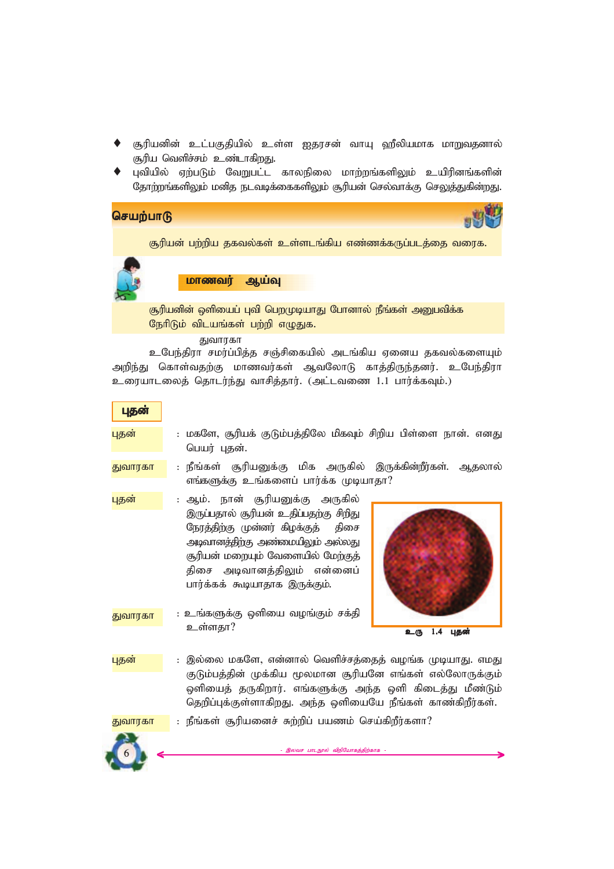- சூரியனின் உட்பகுதியில் உள்ள ஐதரசன் வாயு ஹீலியமாக மாறுவதனால் சூரிய வெளிச்சம் உண்டாகிறது.
- புவியில் ஏற்படும் வேறுபட்ட காலநிலை மாற்றங்களிலும் உயிரினங்களின் தோற்றங்களிலும் மனித நடவடிக்கைகளிலும் சூரியன் செல்வாக்கு செலுத்துகின்றது.

சூரியன் பற்றிய தகவல்கள் உள்ளடங்கிய எண்ணக்கருப்படத்தை வரைக.

<u>மாணவர் ஆய்வு</u>

சூரியனின் ஒளியைப் புவி பெறமுடியாது போனால் நீங்கள் அனுபவிக்க நேரிடும் விடயங்கள் பற்றி எழுகுக.

*Jthufh*

உபேந்திரா சமர்ப்பித்த சஞ்சிகையில் அடங்கிய ஏனைய தகவல்களையும் அறிந்து கொள்வதற்கு மாணவர்கள் ஆவலோடு காத்திருந்தனர். உபேந்திரா *ciuahliyj; njhlu;e;J thrpj;jhu;. (ml;ltiz 1.1 ghu;f;fTk;.)*

புதன்

- <mark>புதன் : மகளே, சூரியக் குடும்பத்திலே மிகவும் சிறிய பிள்ளை நான். எனது</mark> *ngau; Gjd;.*
- <mark>துவாரகா : நீங்கள் சூரியனுக்கு மிக அருகில் இருக்கின்றீர்கள். ஆதலால்</mark> எங்களுக்கு உங்களைப் பார்க்க முடியாதா?
- <mark>புதன் : ஆம். நான் சூரியனுக்கு அருகில்</mark> இருப்பதால் சூரியன் உதிப்பதற்கு சிறிது நேரத்திற்கு முன்னர் கிழக்குத் திசை *mbthdj;jpw;F mz;ikapYk; my;yJ* சூரியன் மறையும் வேளையில் மே<u>ற்கு</u>த் திசை அடிவானத்திலும் என்னைப் பார்க்கக் கூடியாதாக இருக்கும்.



- <u>: உங்களுக்கு</u> ஒளியை வழங்கும் சக்தி உள்ளகா? <mark>துவாரகா</mark>
- புதன் இல்லை மகளே, என்னால் வெளிச்சத்தைத் வழங்க முடியாது. எமது குடும்பத்தின் முக்கிய மூலமான சூரியனே எங்கள் எல்லோருக்கும் ஒளியைத் தருகிறார். எங்களுக்கு அந்த ஒளி கிடைத்து மீண்டும் தெறிப்புக்குள்ளாகிறது. அந்த ஒளியையே நீங்கள் காண்கிறீர்கள்.



<mark>துவாரகா </mark> : நீங்கள் சூரியனைச் சுற்றிப் பயணம் செய்கிறீர்களா?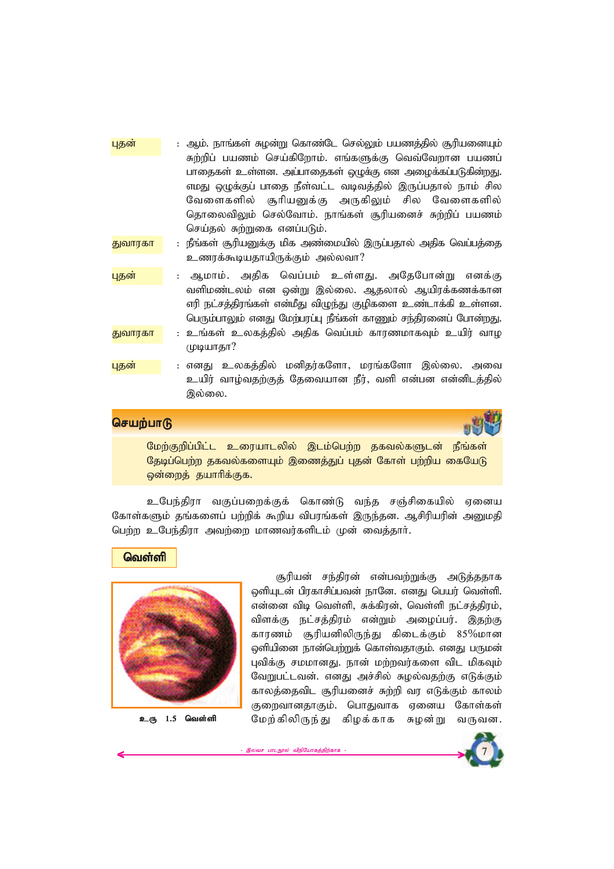| புதன்   | : ஆம். நாங்கள் சுழன்று கொண்டே செல்லும் பயணத்தில் சூரியனையும்                                                                                                                                                                                                                                                              |
|---------|---------------------------------------------------------------------------------------------------------------------------------------------------------------------------------------------------------------------------------------------------------------------------------------------------------------------------|
|         | சுற்றிப் பயணம் செய்கிறோம். எங்களுக்கு வெவ்வேறான பயணப்<br>பாதைகள் உள்ளன. அப்பாதைகள் ஒழுக்கு என அழைக்கப்படுகின்றது.<br>எமது ஒழுக்குப் பாதை நீள்வட்ட வடிவத்தில் இருப்பதால் நாம் சில<br>வேளைகளில் சூரியனுக்கு அருகிலும் சில வேளைகளில்<br>தொலைவிலும் செல்வோம். நாங்கள் சூரியனைச் சுற்றிப் பயணம்<br>செய்தல் சுற்றுகை எனப்படும். |
| துவாரகா | : நீங்கள் சூரியனுக்கு மிக அண்மையில் இருப்பதால் அதிக வெப்பத்தை<br>உணரக்கூடியதாயிருக்கும் அல்லவா?                                                                                                                                                                                                                           |
| புதன்   | ஆமாம். அதிக வெப்பம் உள்ளது. அதேபோன்று எனக்கு<br>வளிமண்டலம் என ஒன்று இல்லை. ஆதலால் ஆயிரக்கணக்கான<br>எரி நட்சத்திரங்கள் என்மீது விழுந்து குழிகளை உண்டாக்கி உள்ளன.<br>பெரும்பாலும் எனது மேற்பரப்பு நீங்கள் காணும் சந்திரனைப் போன்றது.                                                                                        |
| துவாரகா | : உங்கள் உலகத்தில் அதிக வெப்பம் காரணமாகவும் உயிர் வாழ<br>முடியாதா?                                                                                                                                                                                                                                                        |
| புதன    | : எனது உலகத்தில் மனிதர்களோ, மரங்களோ இல்லை. அவை<br>உயிர் வாழ்வதற்குத் தேவையான நீர், வளி என்பன என்னிடத்தில்<br>இல்லை.                                                                                                                                                                                                       |



மேற்குறிப்பிட்ட உரையாடலில் இடம்பெற்ற தகவல்களுடன் நீங்கள் தேடிப்பெற்ற தகவல்களையும் இணைத்துப் புதன் கோள் பற்றிய கையேடு  $\varphi$ ன்றைத் தயாரிக்குக.

உபேந்திரா வகுப்பறைக்குக் கொண்டு வந்த சஞ்சிகையில் ஏனைய கோள்களும் தங்களைப் பற்றிக் கூறிய விபரங்கள் இருந்தன. ஆசிரியரின் அனுமதி *ngw;w cNge;jpuh mtw;iw khztu;fsplk; Kd; itj;jhh;.*

#### **வெள்ளி**



சூரியன் சந்திரன் என்பவற்றுக்கு அடுத்ததாக ஒளியுடன் பிரகாசிப்பவன் நானே. எனது பெயர் வெள்ளி.  $\sigma$ *எ*ன்னை விடி வெள்ளி, சுக்கிரன், வெள்ளி நட்சத்திரம், *tpsf;F el;rj;jpuk; vd;Wk; miog;gu;. ,jw;F fhuzk; #upadpypUe;J fpilf;Fk; 85*%*khd* ஒளியினை நான்பெற்றுக் கொள்வதாகும். எனது பருமன் புவிக்கு சமமானது. நான் மற்றவர்களை விட மிகவும் வேறுபட்டவன். எனது அச்சில் சுழல்வதற்கு எடுக்கும் காலத்தைவிட சூரியனைச் சுற்றி வர எடுக்கும் காலம் குறைவானதாகும். பொதுவாக ஏனைய கோள்கள் உரு 1.5 வெள்ளி மேற்கிலிருந்து கிழக்காக சுழன்று வருவன.

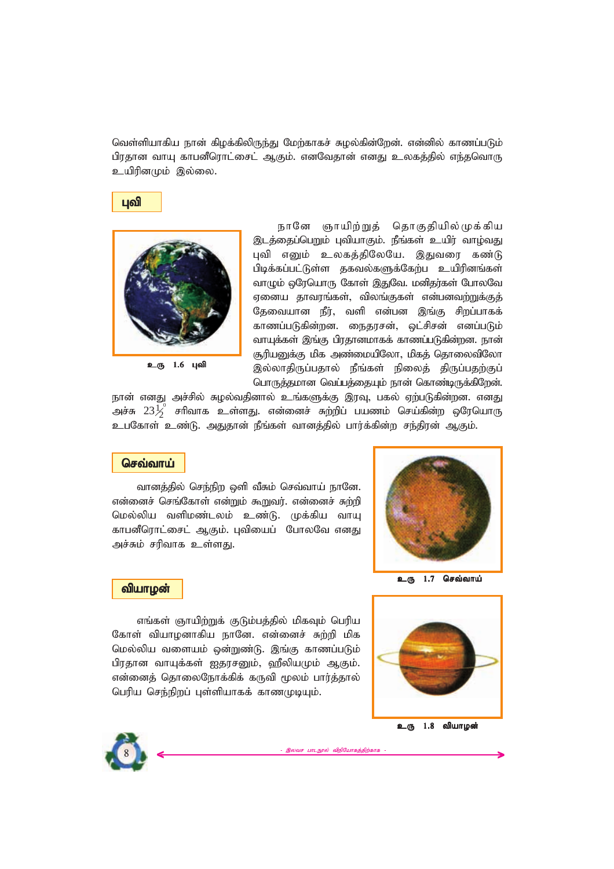வெள்ளியாகிய நான் கிழக்கிலிருந்து மேற்காகச் சுழல்கின்றேன். என்னில் காணப்படும் பிரதான வாயு காபனீரொட்சைட் ஆகும். எனவேதான் எனது உலகத்தில் எந்தவொரு உயிரினமும் இல்லை.





உரு 1.6 புவி

நானே ஞாயிற்றுத் தொகுதியில்முக்கிய இடத்தைப்பெறும் புவியாகும். நீங்கள் உயிர் வாழ்வது புவி எனும் உலகத்திலேயே. இதுவரை கண்டு பிடிக்கப்பட்டுள்ள தகவல்களுக்கேற்ப உயிரினங்கள் வாழும் ஒரேயொரு கோள் இதுவே. மனிதர்கள் போலவே ஏனைய தாவரங்கள், விலங்குகள் என்பனவற்றுக்குத் தேவையான நீர், வளி என்பன இங்கு சிறப்பாகக் காணப்படுகின்றன. நைதரசன், ஒட்சிசன் எனப்படும் வாயுக்கள் இங்கு பிரதானமாகக் காணப்படுகின்றன. நான் சூரியனுக்கு மிக அண்மையிலோ, மிகத் தொலைவிலோ இல்லாதிருப்பதால் நீங்கள் நிலைத் திருப்பதற்குப் *nghUj;jkhd ntg;gj;ijAk; ehd; nfhz;bUf;fpNwd;.*

நான் எனது அச்சில் சுழல்வதினால் உங்களுக்கு இரவு, பகல் ஏற்படுகின்றன. எனது அச்சு  $23 \frac{{\cal L}_0^0}2$  சாிவாக உள்ளது. என்னைச் சுற்றிப் பயணம் செய்கின்ற ஒரேயொரு உபகோள் உண்டு. அதுதான் நீங்கள் வானத்தில் பார்க்கின்ற சந்திரன் ஆகும்.

## **செவ்வாய்**

வானத்தில் செந்நிற ஒளி வீசும் செவ்வாய் நானே. என்னைச் செங்கோள் என்றும் கூறுவர். என்னைச் சுற்றி *nky;ypa tspkz;lyk; cz;L. Kf;fpa thA* காபனீரொட்சைட் ஆகும். புவியைப் போலவே எனது அச்சும் சரிவாக **உள்ளது**.



உரு 1.7 செவ்வாய்

#### **வியாழன்**

எங்கள் ஞாயிற்றுக் குடும்பத்தில் மிகவும் பெரிய கோள் வியாழனாகிய நானே. என்னைச் சுற்றி மிக மெல்லிய வளையம் ஒன்றுண்டு. இங்கு காணப்படும் பிரதான வாயுக்கள் <u>ஐதரசனும், ஹீ</u>லியமும் ஆகும். *எ*ன்னைத் தொலைநோக்கிக் கருவி மூலம் பார்த்தால் *ngupa nre;epwg; Gs;spahff; fhzKbAk;.*



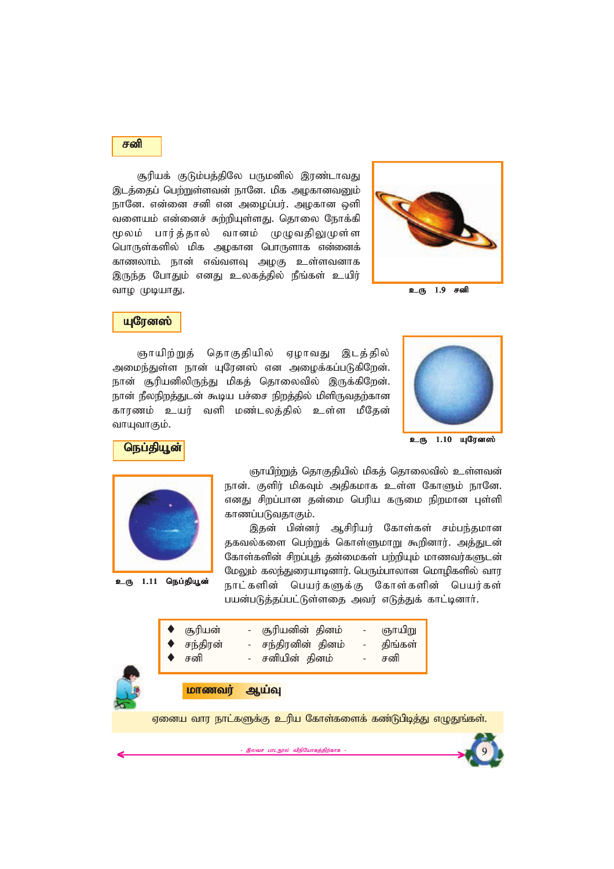#### $F$  of  $\theta$

சூரியக் குடும்பத்திலே பருமனில் இரண்டாவது இடத்தைப் பெற்றுள்ளவன் நானே. மிக அழகானவனும் நானே. என்னை சனி என அழைப்பர். அழகான ஒளி வளையம் என்னைச் சுற்றியுள்ளது. தொலை நோக்கி *%yk; ghu;j;jhy; thdk; KOtjpYKs;s nghUs;fspy; kpf mofhd nghUshf vd;idf;* காணலாம். நான் எவ்வளவு அழகு உள்ளவனாக இருந்த போதும் எனது உலகத்தில் நீங்கள் உயிர் வாம் *(*மடியாகு).



உரு 1.9 சனி

# **и** புரேனஸ்

ஞாயிற்றுத் தொகுதியில் ஏழாவது இடத்தில் அமைந்துள்ள நான் யுரேனஸ் என அழைக்கப்படுகிறேன். நான் சூரியனிலிருந்து மிகத் தொலைவில் இருக்கிறேன். நான் நீலநிறத்துடன் கூடிய பச்சை நிறத்தில் மிளிருவதற்கான காரணம் உயர் வளி மண்டலத்தில் உள்ள மீதேன் வாயுவாகும்.





உரு 1.11 நெப்தியூன்

ஞாய<u>ிற்றுத்</u> தொகுதியில் மிகத் தொலைவில் உள்ளவன் நான். குளிர் மிகவும் அதிகமாக உள்ள கோளும் நானே. *எனது சி*றப்பான தன்மை பெரிய கருமை நிறமான புள்ளி காணப்படுவதாகும்.

இதன் பின்னர் ஆசிரியர் கோள்கள் சம்பந்தமான தகவல்களை பெற்றுக் கொள்ளுமாறு கூறினார். அத்துடன் கோள்களின் சிறப்புத் தன்மைகள் பற்றியும் மாணவர்களுடன் *NkYk; fye;Jiuahbdhu;. ngUk;ghyhd nkhopfspy; thu* நாட்களின் பெயர்களுக்கு கோள்களின் பெயர்கள் பயன்படுத்தப்பட்டுள்ளதை அவர் எடுத்துக் காட்டினார்.





| மாணவர | ஆயவு |
|-------|------|
|       |      |

ஏனைய வார நாட்களுக்கு உரிய கோள்களைக் கண்டுபிடித்து எழுதுங்கள்.

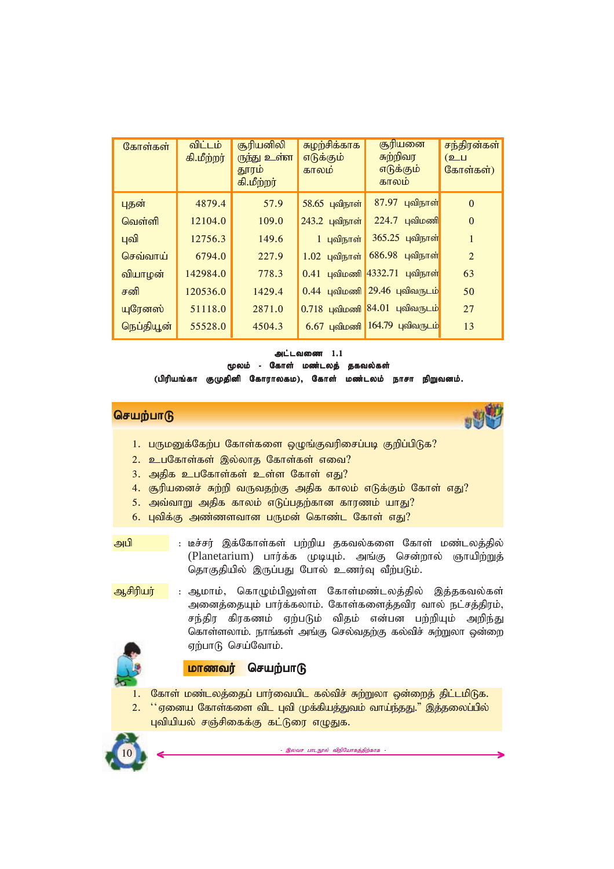| கோள்கள்    | விட்டம்<br>கி.மீற்றர் | சூரியனிலி<br>ருந்து உள்ள<br>தூரம்<br>கி.மீற்றர் | சுழற்சிக்காக<br>எடுக்கும்<br>காலம | சூரியனை<br>சுற்றிவர<br>எடுக்கும்<br>காலம | சந்திரன்கள்<br>(உப<br>கோள்கள்) |
|------------|-----------------------|-------------------------------------------------|-----------------------------------|------------------------------------------|--------------------------------|
| புதன்      | 4879.4                | 57.9                                            | 58.65 புவிநாள்                    | <b>87.97 புவிநாள்</b>                    | $\Omega$                       |
| வெள்ளி     | 12104.0               | 109.0                                           | 243.2 புவிநாள்                    | $224.7$ புவிமணி                          | $\Omega$                       |
| புவி       | 12756.3               | 149.6                                           | 1 புவிநாள்                        | 365.25 புவிநாள்                          | $\mathbf{1}$                   |
| செவ்வாய்   | 6794.0                | 227.9                                           | $1.02$ புவிநாள்                   | 686.98 புவிநாள்                          | $\overline{2}$                 |
| வியாழன்    | 142984.0              | 778.3                                           |                                   | $0.41$ புவிமணி 4332.71 புவிநாள்          | 63                             |
| சனி        | 120536.0              | 1429.4                                          |                                   | $0.44$ புவிமணி 29.46 புவிவருடம்          | 50                             |
| யுரேனஸ்    | 51118.0               | 2871.0                                          |                                   | $0.718$ புவிமணி 84.01 புவிவருடம்         | 27                             |
| நெப்தியூன் | 55528.0               | 4504.3                                          |                                   | $6.67$ புவிமணி 164.79 புவிவருடம்         | 13                             |

#### *ml;ltiz 1.1*

*%yk; - Nfhs; kz;lyj; jfty;fs; %yk; - kz;lyj;* 

(பிரியங்கா குமுதினி கோராலகம), கோள் மண்டலம் நாசா நிறுவனம்.

# **செயற்பாடு**



- 1. பருமனுக்கேற்ப கோள்களை ஒழுங்குவரிசைப்படி குறிப்பிடுக?
- 2. உபகோள்கள் இல்லாத கோள்கள் எவை?
- 3. அதிக உபகோள்கள் உள்ள கோள் எது?
- 4. சூரியனைச் சுற்றி வருவதற்கு அதிக காலம் எடுக்கும் கோள் எது?
- 5. அவ்வாறு அதிக காலம் எடுப்பதற்கான காரணம் யாது?
- 6. பவிக்கு அண்ணளவான பருமன் கொண்ட கோள் எ**து?**
- 
- <mark>அபி : டீச்சர் இக்கோள்கள் பற்றிய தகவல்களை கோள் மண்டலத்தில்</mark> (Planetarium) பார்க்க முடியும். அங்கு சென்றால் ஞாயிற்றுத் தொகுதியில் இருப்பது போல் உணர்வு வீற்படும்.
- <mark>ஆசிரியர் : ஆ</mark>மாம், கொழும்பிலுள்ள கோள்மண்டலத்தில் இத்தகவல்கள் *midj;ijAk; ghu;f;fyhk;. Nfhs;fisj;jtpu thy; el;rj;jpuk;>* சந்திர கிரகணம் ஏற்படும் விதம் என்பன பற்றியும் அறிந்<u>து</u> கொள்ளலாம். நாங்கள் அங்கு செல்வதற்கு கல்விச் சுற்றுலா ஒன்றை ஏற்பாடு செய்வோம்.

#### **மாணவர் செயற்பாடு**

- கோள் மண்டலத்தைப் பார்வையிட கல்விச் சுற்றுலா ஒன்றைத் திட்டமிடுக.
- 2. <sup>\*\*</sup>ஏனைய கோள்களை விட புவி முக்கியத்துவம் வாய்ந்தது." இத்தலைப்பில் புவியியல் சஞ்சிகைக்கு கட்டுரை எழுதுக.

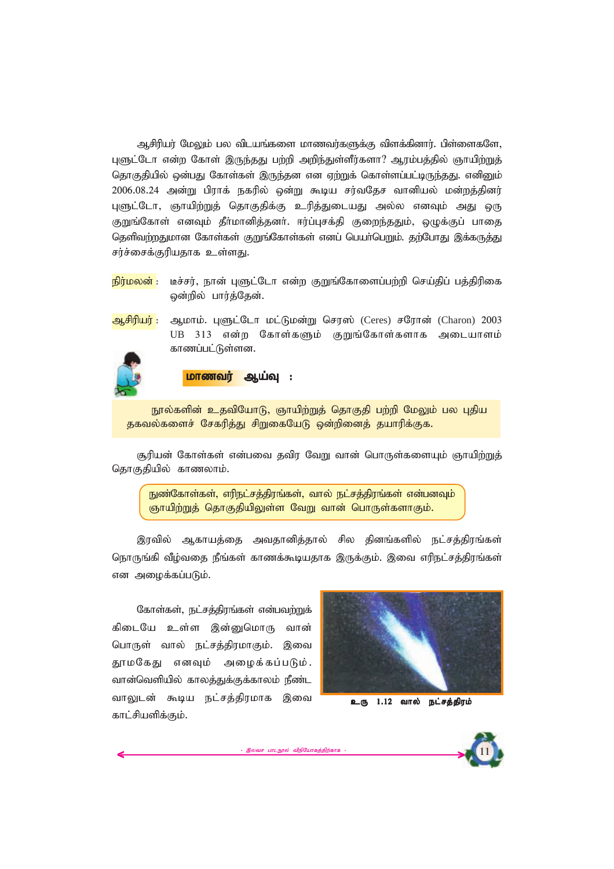ஆசிரியர் மேலும் பல விடயங்களை மாணவர்களுக்கு விளக்கினார். பிள்ளைகளே, புளுட்டோ என்ற கோள் இருந்தது பற்றி அறிந்துள்ளீர்களா? ஆரம்பத்தில் ஞாயிற்றுத் தொகுதியில் ஒன்பது கோள்கள் இருந்தன என ஏற்றுக் கொள்ளப்பட்டிருந்தது. எனினும் 2006.08.24 அன்று பிராக் நகரில் ஒன்று கூடிய சர்வதேச வானியல் மன்றத்தினர் புளுட்டோ, ஞாயிற்றுத் தொகுதிக்கு உரித்துடையது அல்ல எனவும் அது ஒரு குறுங்கோள் எனவும் தீர்மானித்தனர். ஈர்ப்புசக்தி குறைந்ததும், ஒழுக்குப் பாதை தெளிவற்றதுமான கோள்கள் குறுங்கோள்கள் எனப் பெயர்பெறும். தற்போது இக்கருத்து சர்ச்சைக்குரியதாக **உள்ளது**.

<mark>நிர்மலன்</mark> : டீச்சர், நான் புளுட்டோ என்ற குறுங்கோளைப்பற்றி செய்திப் பத்திரிகை *xd;wpy; ghu;j;Njd;.*

*Mrpupau; : Mkhk;. GSl;Nlh kl;Lkd;W nru];* (Ceres) *rNuhd;* (Charon) *2003* UB 313 என்ற கோள்களும் குறுங்கோள்களாக அடையாளம் காணப்பட்டுள்ளன.



<mark>மாணவர் ஆய்வு :</mark>

நூல்களின் உதவியோடு, ஞாயிற்றுத் தொகுதி பற்றி மேலும் பல புதிய தகவல்களைச் சேகரித்து சிறுகையேடு ஒன்றினைத் தயாரிக்குக.

சூரியன் கோள்கள் என்பவை தவிர வேறு வான் பொருள்களையும் ஞாயிற்றுத் தொகுதியில் காணலாம்.

நுண்கோள்கள், எரிநட்சத்திரங்கள், வால் நட்சத்திரங்கள் என்பனவும் ஞாயிற்றுத் தொகுதியிலுள்ள வேறு வான் பொருள்களாகும்.

இரவில் ஆகாயத்தை அவதானித்தால் சில தினங்களில் நட்சத்திரங்கள் நொருங்கி வீழ்வதை நீங்கள் காணக்கூடியதாக இருக்கும். இவை எரிநட்சத்திரங்கள் என அழைக்கப்படும்.

இலவச பாடநூல் விநியோகத்திற்காக

கோள்கள், நட்சத்திரங்கள் என்பவற்றுக் கிடையே உள்ள இன்**மை**மாரு வான் பொருள் வால் நட்சத்திரமாகும். இவை கூரமகேகு எனவும் அமைக்கப்படும். வான்வெளியில் காலத்துக்குக்காலம் நீண்ட வாலுடன் கூடிய நட்சத்திரமாக இவை காட்சியளிக்கும்.



உரு 1.12 வால் நட்சத்திரம்

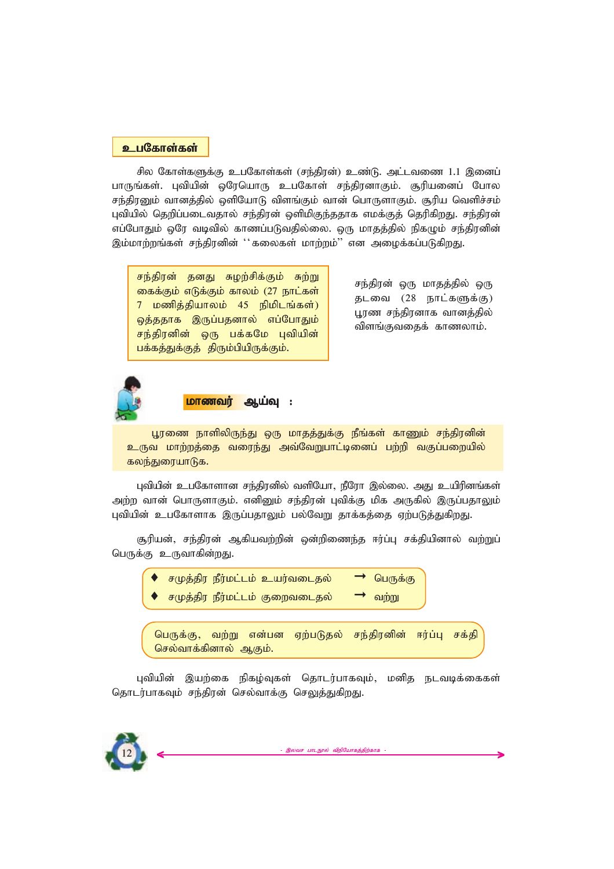#### *cgNfhs;fs; cgNfhs;fs; cgNfhs;fs;*

சில கோள்களுக்கு உபகோள்கள் (சந்திரன்) உண்டு. அட்டவணை 1.1 இனைப் பாருங்கள். புவியின் ஒரேயொரு உபகோள் சந்திரனாகும். சூரியனைப் போல சந்திரனும் வானத்தில் ஒளியோடு விளங்கும் வான் பொருளாகும். சூரிய வெளிச்சம் புவியில் தெறிப்படைவதால் சந்திரன் ஒளிமிகுந்ததாக எமக்குத் தெரிகிறது. சந்திரன் எப்போதும் ஒரே வடிவில் காணப்படுவதில்லை. ஒரு மாதத்தில் நிகழும் சந்திரனின் இம்மாற்றங்கள் சந்திரனின் ''கலைகள் மாற்றம்'' என அழைக்கப்படுகி<u>றது</u>.

*re;jpud; jdJ Row;rpf;Fk; Rw;W* கைக்கும் எடுக்கும் காலம் (27 நாட்கள் *7 kzpj;jpahyk; 45 epkplq;fs;)* ஒத்ததாக இருப்பதனால் எப்போதும் சந்திரனின் ஒரு பக்கமே புவியின் பக்கத்துக்குத் திரும்பியிருக்கும்.

சந்திரன் ஒரு மாதத்தில் ஒரு தடவை (28 நாட்களுக்கு) பூரண சந்திரனாக வான**த்தில்** *விளங்*குவதைக் காணலாம்.



**மாணவர் ஆய்வு :** 

பூரணை நாளிலிருந்து ஒரு மாதத்துக்கு நீங்கள் காணும் சந்திரனின் உருவ மாற்றத்தை வரைந்து அவ்வேறுபாட்டினைப் பற்றி வகுப்பறையில் கலந்துரையாடுக.

புவியின் உபகோளான சந்திரனில் வளியோ, நீரோ இல்லை. அது உயிரினங்கள் அற்ற வான் பொருளாகும். எனினும் சந்திரன் புவிக்கு மிக அருகில் இருப்பதாலும் புவியின் உபகோளாக இருப்பதாலும் பல்வேறு தாக்கத்தை ஏற்படுத்துகிறது.

சூரியன், சந்திரன் ஆகியவற்றின் ஒன்றிணைந்த ஈர்ப்பு சக்தியினால் வற்றுப் பெருக்கு உருவாகின்றது.

- $\overline{f}$  *ச*(மத்திர நீர்மட்டம் உயர்வடைதல் → பெருக்கு
- $\overline{f}$ ;முத்திர நீர்மட்டம் குறைவடைதல் → வற்று

பெருக்கு, வற்று என்பன ஏற்படுதல் சந்திரனின் ஈர்ப்பு சக்தி செல்வாக்கினால் ஆகும்.

புவியின் இயற்கை நிகழ்வுகள் தொடர்பாகவும், மனித நடவடிக்கைகள் தொடர்பாகவும் சந்திரன் செல்வாக்கு செலுத்துகிறது.

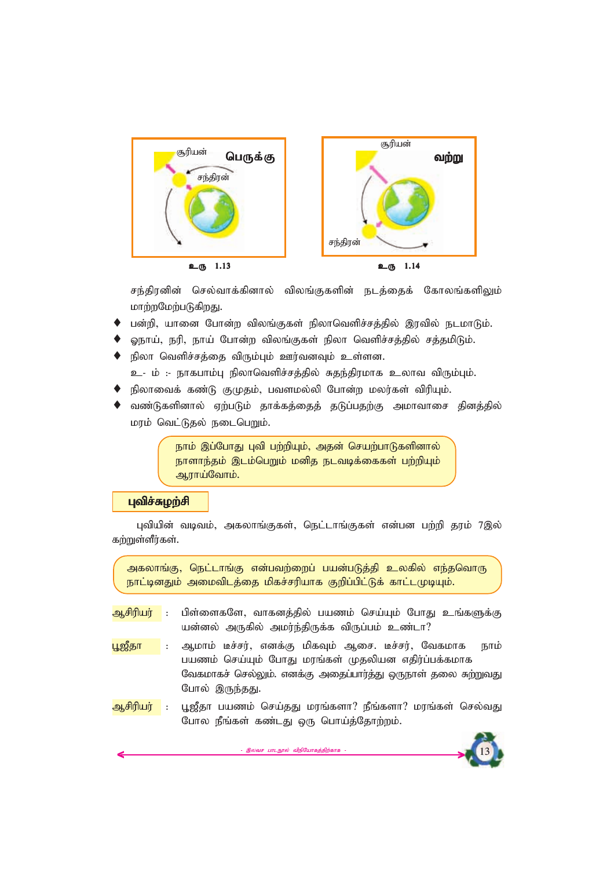

சந்திரனின் செல்வாக்கினால் விலங்குகளின் நடத்தைக் கோலங்களிலும் <u>மாற்றமேற்படுகிறது.</u>

- பன்றி, யானை போன்ற விலங்குகள் நிலாவெளிச்சத்தில் இரவில் நடமாடும்.
- ஓநாய், நரி, நாய் போன்ற விலங்குகள் நிலா வெளிச்சத்தில் சத்தமிடும்.
- நிலா வெளிச்சக்கை விரும்பும் ஊர்வனவும் உள்ளன.
	- உ- ம் :- நாகபாம்பு நிலாவெளிச்சத்தில் சுதந்திரமாக உலாவ விரும்பும்.
- நிலாவைக் கண்டு குமுதம், பவளமல்லி போன்ற மலர்கள் விரியும்.
- வண்டுகளினால் ஏற்படும் தாக்கத்தைத் தடுப்பதற்கு அமாவாசை தினத்தில் *kuk; ntl;Ljy; eilngWk;.*

நாம் இப்போது புவி பற்றியும், அதன் செயற்பாடுகளினால் நாளாந்தம் இடம்பெறும் மனித நடவடிக்கைகள் பற்றியும் **ஆராய்வோம்.** 

## $\mu$ விச்சுழற்சி

புவியின் வடிவம், அகலாங்குகள், நெட்டாங்குகள் என்பன பற்றி தரம் 7இல் கற்றுள்ளீர்கள்.

அகலாங்கு, நெட்டாங்கு என்பவற்றைப் பயன்படுத்தி உலகில் எந்தவொரு நாட்டினதும் அமைவிடத்தை மிகச்சரியாக குறிப்பிட்டுக் காட்டமுடியும்.

- <mark>ஆசிரியர் : பிள்ளைகளே, வாகனத்தில் பயணம் செய்யும் போது உங்களுக்கு</mark> யன்னல் அருகில் அமர்ந்திருக்க விருப்பம் உண்டா?
- <mark>பூஜீதா : ஆமாம் டீச்சர், எனக்கு மிகவும் ஆசை. டீச்சர், வேகமாக நாம்</mark> பயணம் செய்யும் போது மரங்கள் முதலியன எதிர்ப்பக்கமாக வேகமாகச் செல்லும். எனக்கு அதைப்பார்த்து ஒருநாள் தலை சுற்றுவது போல் இருந்தது.
- <mark>ஆசிரியர் : பூஜீ</mark>தா பயணம் செய்தது மரங்களா? நீங்களா? மரங்கள் செல்வது போல நீங்கள் கண்டது ஒரு பொய்த்தோற்றம்.

இலவச பாடநூல் விநியோகத்திற்காக

*13*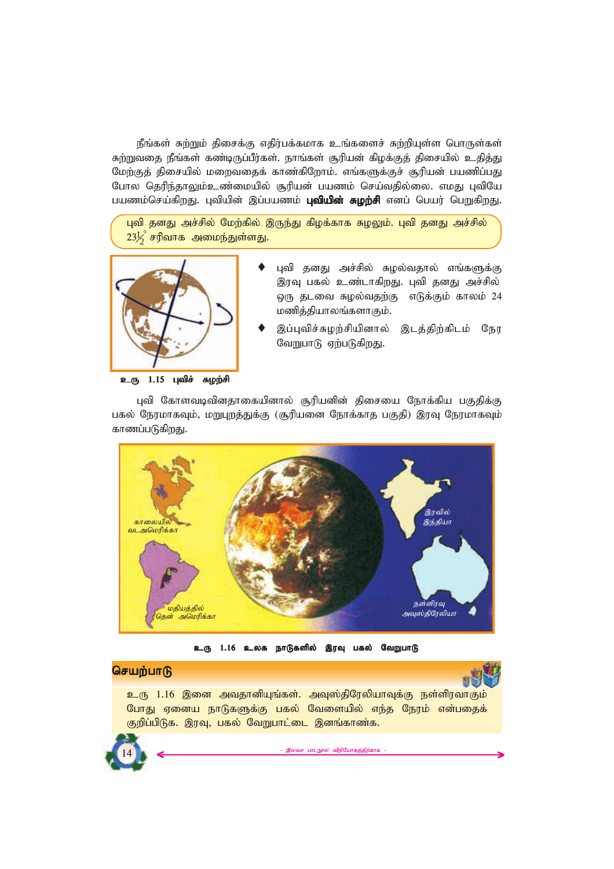நீங்கள் சுற்றும் திசைக்கு எதிர்பக்கமாக உங்களைச் சுற்றியுள்ள பொருள்கள் சுற்றுவதை நீங்கள் கண்டிருப்பீர்கள். நாங்கள் சூரியன் கிழக்குத் திசையில் உதித்து மேற்குத் திசையில் மறைவதைக் காண்கிறோம். எங்களுக்குச் சூரியன் பயணிப்பது போல தெரிந்தாலும்உண்மையில் சூரியன் பயணம் செய்வதில்லை. எமது புவியே பயணம்செய்கிறது. புவியின் இப்பயணம் **புவியின் சுழற்சி** எனப் பெயர் பெறுகிறது.

புவி தனது அச்சில் மேற்கில் இருந்து கிழக்காக சுழலும். புவி தனது அச்சில்  $23\frac{1}{2}^{\rm o}$  சரிவாக அமைந்துள்ளது.



#### உரு 1.15 புவிச் சுழற்சி

- புவி தனது அச்சில் சுழல்வதால் எங்களுக்கு இரவு பகல் உண்டாகிறது. புவி தனது அச்சில் *xU jlit Roy;tjw;F vLf;Fk; fhyk; 24 kzpj;jpahyq;fshFk;.*
- இப்புவிச்சுழற்சியினால் இடத்திற்கிடம் நேர வேறுபாடு ஏற்படுகிறது.

புவி கோளவடிவினதாகையினால் சூரியனின் திசையை நோக்கிய பகுதிக்கு பகல் நேரமாகவும், மறுபுறத்துக்கு (சூரியனை நோக்காத பகுதி) இரவு நேரமாகவும் காணப்படுகிறது.



உரு 1.16 உலக நாடுகளில் இரவு பகல் வேறுபாடு

# **செயற்பாடு**

<u>உரு 1.16 இனை அவதானியுங்கள். அவுஸ்திரேலியாவுக்கு நள்ளிரவாகும்</u> போது ஏனைய நாடுகளுக்கு பகல் வேளையில் எந்த நேரம் என்பதைக் குறிப்பிடுக. இரவு, பகல் வேறுபாட்டை இனங்காண்க.

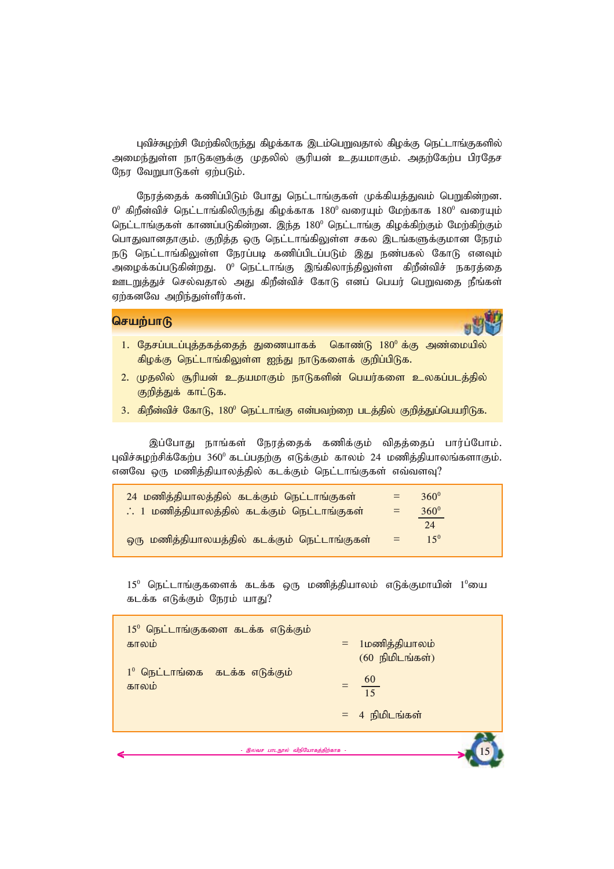புவிச்சுழற்சி மேற்கிலிருந்து கிழக்காக இடம்பெறுவதால் கிழக்கு நெட்டாங்குகளில் அமைந்துள்ள நாடுகளுக்கு முதலில் சூரியன் உதயமாகும். அதற்கேற்ப பிரதேச நேர வேறுபாடுகள் ஏற்படும்.

நேரத்தைக் கணிப்பிடும் போது நெட்டாங்குகள் முக்கியத்துவம் பெறுகின்றன.  $0^{\rm o}$  கிறீன்விச் நெட்டாங்கிலிருந்து கிழக்காக 180<sup>0</sup> வரையும் மேற்காக 180<sup>0</sup> வரையும் நெட்டாங்குகள் காணப்படுகின்றன. இந்த 180<sup>0</sup> நெட்டாங்கு கிழக்கிற்கும் மேற்கிற்கும் பொதுவானதாகும். குறித்த ஒரு நெட்டாங்கிலுள்ள சகல இடங்களுக்குமான நேரம் நடு நெட்டாங்கிலுள்ள நேரப்படி கணிப்பிடப்படும் இது நண்பகல் கோடு எனவும் அழைக்கப்படுகின்றது. 0<sup>0</sup> நெட்டாங்கு இங்கிலாந்திலுள்ள கிறீன்விச் நகரத்தை **ஊடறுத்துச் செல்வதால் அது கிறீன்விச் கோடு எனப் பெயர் பெறுவதை நீங்கள்** ஏற்கனவே அறிந்துள்ளீர்கள்.

## **செயற்பாடு**

- 1. தேசப்படப்புத்தகத்தைத் துணையாகக் கொண்டு 180<sup>0</sup>க்கு அண்மையில் கிழக்கு நெட்டாங்கிலுள்ள ஐந்து நாடுகளைக் குறிப்பிடுக.
- 2. முதலில் சூரியன் உதயமாகும் நாடுகளின் பெயர்களை உலகப்படத்தில் குறித்துக் காட்டுக.
- 3. கிறீன்விச் கோடு, 180<sup>0</sup> நெட்டாங்கு என்பவற்றை படத்தில் குறித்துப்பெயரிடுக.

இப்போது நாங்கள் நேரத்தைக் கணிக்கும் விதத்தைப் பார்ப்போம். புவிச்சுழற்சிக்கேற்ப<sup>3600</sup> கடப்பதற்கு எடுக்கும் காலம் 24 மணித்தியாலங்களாகும். எனவே ஒரு மணித்தியாலத்தில் கடக்கும் நெட்டாங்குகள் எவ்வளவு?

| 24 மணித்தியாலத்தில் கடக்கும் நெட்டாங்குகள்   |     | $360^{\circ}$ |
|----------------------------------------------|-----|---------------|
| ். 1 மணித்தியாலத்தில் கடக்கும் நெட்டாங்குகள் | $=$ | $360^{\circ}$ |
|                                              |     | 24            |
| ஒரு மணித்தியாலயத்தில் கடக்கும் நெட்டாங்குகள் | $=$ | $15^{0}$      |

 $15^0$  நெட்டாங்குகளைக் கடக்க ஒரு மணிக்கியாலம் எடுக்குமாயின்  $1^0$ யை கடக்க எடுக்கும் நேரம் யாது?

|                                                     | $= 4$ நிமிடங்கள்                      |
|-----------------------------------------------------|---------------------------------------|
| $1^0$ நெட்டாங்கை கடக்க எடுக்கும்<br>காலம்           | $rac{60}{15}$                         |
| $15^{\circ}$ நெட்டாங்குகளை கடக்க எடுக்கும்<br>காலம் | = 1மணித்தியாலம்<br>$(60)$ நிமிடங்கள்) |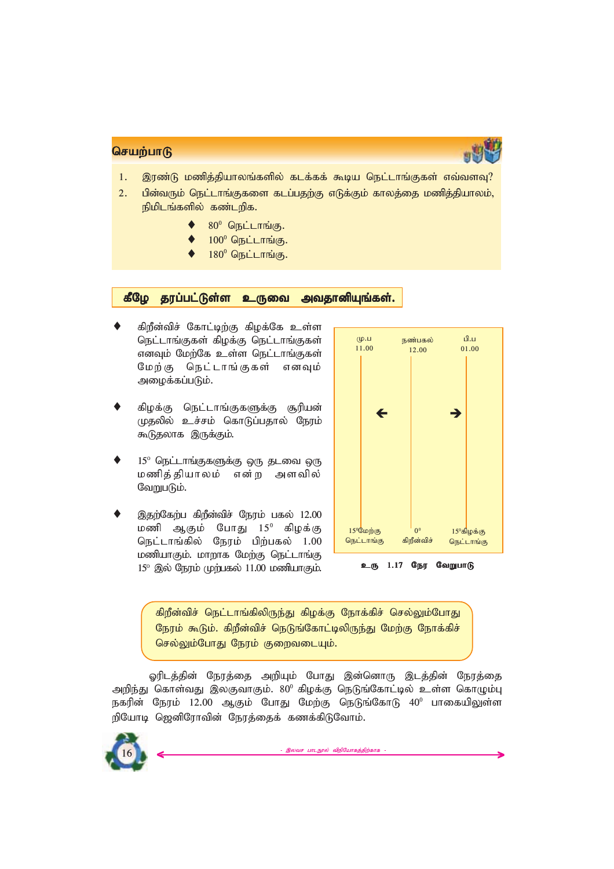

- 1. இரண்டு மணித்தியாலங்களில் கடக்கக் கூடிய நெட்டாங்குகள் எவ்வளவு?
- 2. பின்வரும் நெட்டாங்குகளை கடப்பதற்கு எடுக்கும் காலத்தை மணித்தியாலம்,  $p$ நிமிடங்களில் கண்டறிக.
	- ◆ 80<sup>0</sup> நெட்டாங்கு.
	- $100^0$  நெட்டாங்கு.
	- $180^0$  நெட்டாங்கு.

## கீழே தரப்பட்டுள்ள உருவை அவதானியுங்கள்.

- கிறீன்விச் கோட்டிற்கு கிழக்கே **உள்ள** நெட்டாங்குகள் கிழக்கு நெட்டாங்குகள் எனவும் மேற்கே உள்ள நெட்டாங்குகள் மேற்கு நெட்டாங்குகள் எனவும் அழைக்கப்படும்.
- கிழக்கு நெட்டாங்குகளுக்கு சூரியன் *Kjypy; cr;rk; nfhLg;gjhy; Neuk;* கூடுதலாக இருக்கும்.
- 15<sup>o</sup> நெட்டாங்குகளுக்கு ஒரு தடவை ஒரு *kzpj;jpahyk; vd;w mstpy;* வேறுபடும்.
- இதற்கேற்ப கிறீன்விச் நேரம் பகல் 12.00 *kzp MFk; NghJ 15<sup>0</sup> fpof;F* நெட்டாங்கில் நேரம் பிற்பகல் 1.00 **மணியாகும். மாறாக மேற்கு நெட்டாங்கு** 15<sup>o</sup> இல் நேரம் முற்பகல் 11.00 மணியாகும்.



உரு 1.17 நேர வேறுபாடு

கிறீன்விச் நெட்டாங்கிலிருந்து கிழக்கு நோக்கிச் செல்லும்போது நேரம் கூடும். கிறீன்விச் நெடுங்கோட்டிலிருந்து மேற்கு நோக்கிச் செல்லும்போது நேரம் குறைவடையும்.

ஓரிடத்தின் நேரத்தை அறியும் போது இன்னொரு இடத்தின் நேரத்தை அறிந்து கொள்வது இலகுவாகும். 80<sup>0</sup> கிழக்கு நெடுங்கோட்டில் உள்ள கொழும்பு நகரின் நேரம் 12.00 ஆகும் போது மேற்கு நெடுங்கோடு 40<sup>0</sup> பாகையிலுள்ள றியோடி ஜெனிரோவின் நேரத்தைக் கணக்கிடுவோம்.

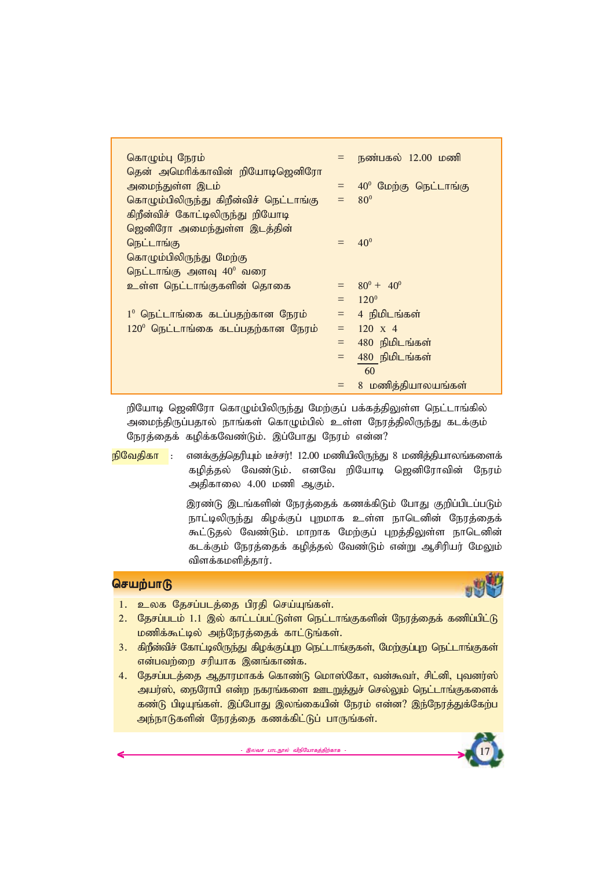| கொழும்பு நேரம்                             |         | = நண்பகல் 12.00 மணி                   |
|--------------------------------------------|---------|---------------------------------------|
| தென் அமெரிக்காவின் றியோடிஜெனிரோ            |         |                                       |
| அமைந்துள்ள இடம்                            |         | $=$ 40 <sup>0</sup> மேற்கு நெட்டாங்கு |
| கொழும்பிலிருந்து கிறீன்விச் நெட்டாங்கு     |         | $=$ 80 <sup>o</sup>                   |
| கிறீன்விச் கோட்டிலிருந்து றியோடி           |         |                                       |
| ஜெனிரோ அமைந்துள்ள இடத்தின்                 |         |                                       |
| நெட்டாங்கு                                 |         | $= 40^{\circ}$                        |
| கொழும்பிலிருந்து மேற்கு                    |         |                                       |
| நெட்டாங்கு அளவு 40 <sup>0</sup> வரை        |         |                                       |
| உள்ள நெட்டாங்குகளின் தொகை                  |         | $= 80^0 + 40^0$                       |
|                                            |         | $= 120^{\circ}$                       |
| $1^0$ நெட்டாங்கை கடப்பதற்கான நேரம்         |         | $=$ 4 நிமிடங்கள்                      |
| $120^{\circ}$ நெட்டாங்கை கடப்பதற்கான நேரம் | $=$     | $120 \times 4$                        |
|                                            | $=$ $-$ | 480 நிமிடங்கள்                        |
|                                            |         | $=$ 480 நிமிடங்கள்                    |
|                                            |         | 60                                    |
|                                            |         | = 8 மணித்தியாலயங்கள்                  |

றியோடி ஜெனிரோ கொழும்பிலிருந்து மேற்குப் பக்கத்திலுள்ள நெட்டாங்கில் அமைந்திருப்பதால் நாங்கள் கொழும்பில் உள்ள நேரத்திலிருந்து கடக்கும் நேரத்தைக் கழிக்கவேண்டும். இப்போது நேரம் என்ன?

 $p$ <mark>நிவேதிகா : எனக்குத்தெரியும் டீச்சர்! 12.00 மணியிலிருந்து 8 மணித்தியாலங்களைக்</mark> கழித்தல் வேண்டும். எனவே றியோடி ஜெனிரோவின் நேரம் அதிகாலை 4.00 மணி ஆகும்.

> இரண்டு இடங்களின் நேரத்தைக் கணக்கிடும் போது குறிப்பிடப்படும் நாட்டிலிருந்து கிழக்குப் புறமாக உள்ள நாடெனின் நேரத்தைக் கூட்டுதல் வேண்டும். மாறாக மேற்குப் புறத்திலுள்ள நாடெனின் கடக்கும் நேரத்தைக் கழித்தல் வேண்டும் என்று ஆசிரியர் மேலும் விளக்கமளித்தார்.

# **செயற்பாடு**



- 1. உலக தேசப்படத்தை பிரதி செய்யுங்கள்.
- 2. தேசப்படம் 1.1 இல் காட்டப்பட்டுள்ள நெட்டாங்குகளின் நேரத்தைக் கணிப்பிட்டு **மணிக்கூட்டில் அந்நேரத்தைக் காட்டுங்கள்.**
- 3. கிறீன்விச் கோட்டிலிருந்து கிழக்குப்புற நெட்டாங்குகள், மேற்குப்புற நெட்டாங்குகள் என்பவற்றை சரியாக இனங்காண்க.
- 4. தேசப்படத்தை ஆதாரமாகக் கொண்டு மொஸ்கோ, வன்கூவா், சிட்னி, புவனர்ஸ் அயர்ஸ், நைரோபி என்ற நகரங்களை ஊடறுத்துச் செல்லும் நெட்டாங்குகளைக் கண்டு பிடியுங்கள். இப்போது இலங்கையின் நேரம் என்ன? இந்நேரத்துக்கேற்ப அந்நாடுகளின் நேரத்தை கணக்கிட்டுப் பாருங்கள்.

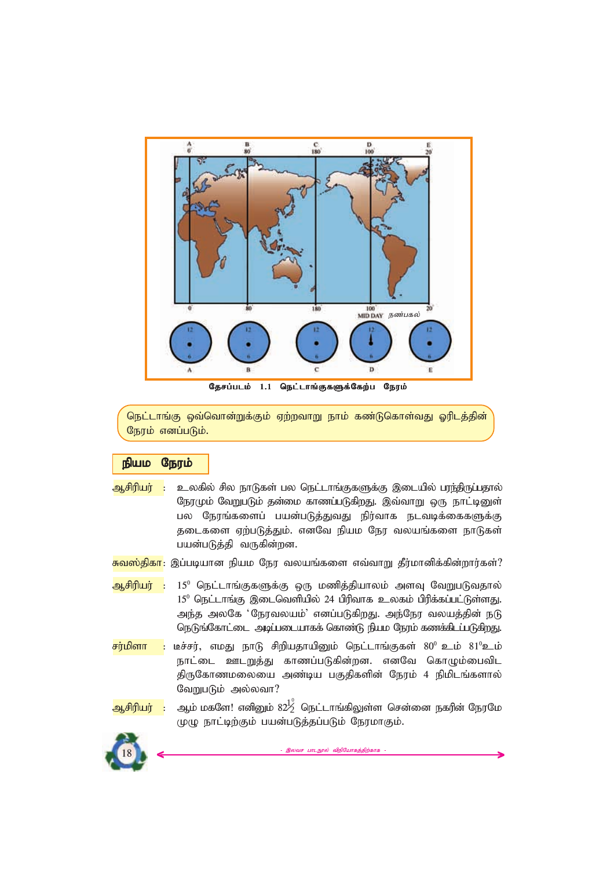

தேசப்படம் 1.1 நெட்டாங்குகளுக்கேற்ப நேரம்

நெட்டாங்கு ஒவ்வொன்றுக்கும் ஏற்றவாறு நாம் கண்டுகொள்வது ஓரிடத்தின் நேரம் எனப்படும்.

# *epak Neuk; epak Neuk; epak Neuk;*

- <mark>ஆசிரியர் : உ</mark>லகில் சில நாடுகள் பல நெட்டாங்குகளுக்கு இடையில் ப<del>ரந்த</del>ிருப்பதால் நேரமும் வேறுபடும் தன்மை காணப்படுகிறது. இவ்வாறு ஒரு நாட்டினுள் பல நேரங்களைப் பயன்படுத்துவது நிர்வாக நடவடிக்கைகளுக்கு தடைகளை ஏற்படுத்தும். எனவே நியம நேர வலயங்களை நாடுகள் பயன்படுத்தி வருகின்றன.
- <mark>சுவஸ்திகா</mark>: இப்படியான நியம நேர வலயங்களை எவ்வாறு தீர்மானிக்கின்றார்கள்?
- <mark>ஆசிரியர் :</mark> 15<sup>0</sup> நெட்டாங்குகளுக்கு ஒரு மணித்தியாலம் அளவு வேறுபடுவதால் 15<sup>0</sup> நெட்டாங்கு இடைவெளியில் 24 பிரிவாக உலகம் பிரிக்கப்பட்டுள்ளது. அந்த அலகே 'நேரவலயம்' எனப்படுகிறது. அந்நேர வலயத்தின் நடு நெடுங்கோட்டை அடிப்படையாகக் கொண்டு நியம நேரம் கணக்கிடப்படுகிறது.
- $\overline{r}$ ர்மிளா : டீச்சர், எமது நாடு சிறியதாயினும் நெட்டாங்குகள் 80<sup>0</sup> உம் 81<sup>0</sup>உம் நாட்டை ஊடறுத்து காணப்படுகின்றன. எனவே கொழும்பைவிட திருகோணமலையை அண்டிய பகுதிகளின் நேரம் 4 நிமிடங்களால் வேறுபடும் அல்லவா?
- <mark>ஆசிரியர் :</mark> ஆம் மகளே! எனினும் 82 $^{10}_{\rm Z}$  நெட்டாங்கிலுள்ள சென்னை நகரின் நேரமே முழு நாட்டிற்கும் பயன்படுத்தப்படும் நேரமாகும்.

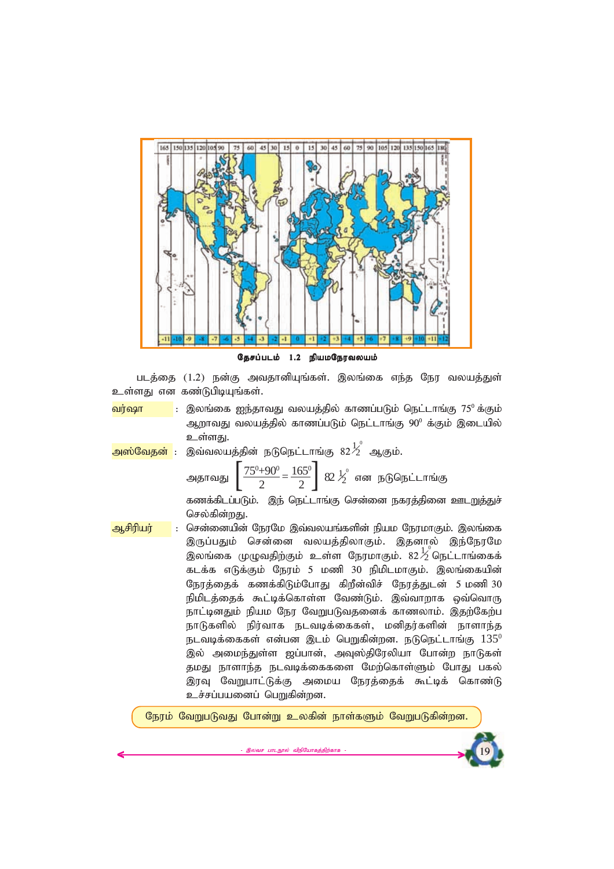

தேசப்படம் 1.2 நியமநேரவலயம்

படத்தை (1.2) நன்கு அவதானியுங்கள். இலங்கை எந்த நேர வலயத்துள் உள்ளது என கண்டுபிடியுங்கள்.

<mark>வர்ஷா |</mark> : இலங்கை ஐந்தாவது வலயத்தில் காணப்படும் நெட்டாங்கு 75<sup>0</sup>க்கும் ஆறாவது வலயத்தில் காணப்படும் நெட்டாங்கு 90<sup>0</sup> க்கும் இடையில் உள்ள**கு**ட

<mark>அஸ்வேதன்</mark> : இவ்வலயத்தின் நடுநெட்டாங்கு 82 $\frac{1}{2}^{\circ}$  ஆகும்.

эцэлгөлдд

\n
$$
\left[\frac{75^0 + 90^0}{2} = \frac{165^0}{2}\right] \cdot 82 \frac{1}{2}^0 \cdot \text{ or } \text{g}
$$
\nбөг

дылгайдэлгөлгөлдд

கணக்கிடப்படும். இந் நெட்டாங்கு சென்னை நகரத்தினை ஊடறுத்துச் செல்கின்றது.

<mark>ஆசிரியர் : சென்னையின் நேரமே இவ்வலயங்களின் நியம நேரமாகும். இலங்கை</mark> இருப்பதும் சென்னை வலயத்திலாகும். இதனால் இந்நேரமே ை — பாத்திருந்து *வானி நே*ரமாகும். 82 $\frac{1}{2}$ தெட்டாங்கைக் கடக்க எடுக்கும் நேரம் 5 மணி 30 நிமிடமாகும். இலங்கையின் *Neuj;ijf; fzf;fpLk;NghJ fpwPd;tpr; Neuj;Jld; 5 kzp 30* நிமிடத்தைக் கூட்டிக்கொள்ள வேண்டும். இவ்வாறாக ஒவ்வொரு நாட்டினதும் நியம நேர வேறுபடுவதனைக் காணலாம். இதற்கேற்ப நாடுகளில் நிர்வாக நடவடிக்கைகள், மனிதர்களின் நாளாந்த  $n_{\rm E}$ வடிக்கைகள் என்பன இடம் பெறுகின்றன. நடுநெட்டாங்கு  $135^{\rm o}$ இல் அமைந்துள்ள ஜப்பான், அவுஸ்திரேலியா போன்ற நாடுகள் தமது நாளாந்த நடவடிக்கைகளை மேற்கொள்ளும் போது பகல் இரவு வேறுபாட்டுக்கு அமைய நேரத்தைக் கூட்டிக் கொண்டு உச்சப்பயனைப் பெறுகின்றன.

நேரம் வேறுபடுவது போன்று உலகின் நாள்களும் வேறுபடுகின்றன.

இலவச பாடநூல் விநியோகத்திற்காக



*19*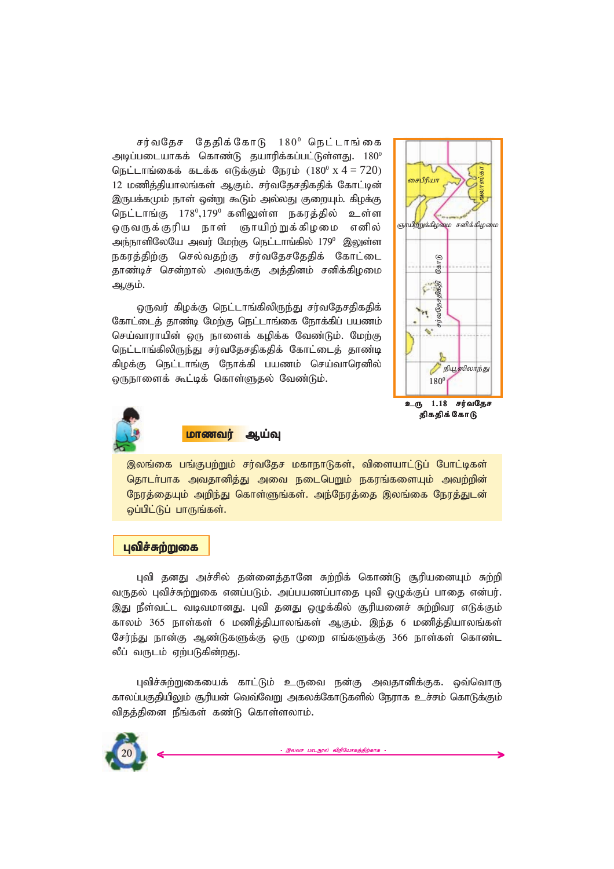சர்வதேச தேதிக்கோடு 180<sup>0</sup> நெட்டாங்கை *mbg;gilahff; nfhz;L jahupf;fg;gl;Ls;sJ. 180<sup>0</sup> nel;lhq;iff; flf;f vLf;Fk; Neuk; (180<sup>0</sup>*x 4 = 720*)* 12 மணித்தியாலங்கள் ஆகும். சர்வதேசதிகதிக் கோட்டின் இருபக்கமும் நாள் ஒன்று கூடும் அல்லது குறையும். கிழக்கு நெட்டாங்கு 178º,179º களிலுள்ள நகரத்தில் உள்ள ஒருவருக்குரிய நாள் ஞாயிற்றுக்கிழமை எனில் அந்நாளிலேயே அவர் மேற்கு நெட்டாங்கில் 179<sup>0</sup> இலுள்ள நகரத்திற்கு செல்வதற்கு சர்வதேசதேதிக் கோட்டை தாண்டிச் சென்றால் அவருக்கு அத்தினம் சனிக்கிழமை ஆகும்.

 $\Omega$ ருவர் கிழக்கு நெட்டாங்கிலிருந்து சர்வதேசதிகதிக் கோட்டைத் தாண்டி மேற்கு நெட்டாங்கை நோக்கிப் பயணம் செய்வாராயின் ஒரு நாளைக் கமிக்க வேண்டும். மேற்கு நெட்டாங்கிலிருந்து சர்வதேசதிகதிக் கோட்டைத் தாண்டி கிழக்கு நெட்டாங்கு நோக்கி பயணம் செய்வாரெனில் ஒருநாளைக் கூட்டிக் கொள்ளுதல் வேண்டும்.





<mark>மாணவர் ஆய்வு</mark>

இலங்கை பங்குபற்றும் சர்வதேச மகாநாடுகள், விளையாட்டுப் போட்டிகள் தொடர்பாக அவதானித்து அவை நடைபெறும் நகரங்களையும் அவற்றின் நேரத்தையும் அறிந்து கொள்ளுங்கள். அந்நேரத்தை இலங்கை நேரத்துடன் *xg;gpl;Lg; ghUq;fs;.*

#### புவிச்சுற்றுகை

புவி தனது அச்சில் தன்னைத்தானே சுற்றிக் கொண்டு சூரியனையும் சுற்றி வருதல் புவிச்சுற்றுகை எனப்படும். அப்பயணப்பாதை புவி ஒழுக்குப் பாதை என்பர். இது நீள்வட்ட வடிவமானது. புவி தனது ஒழுக்கில் சூரியனைச் சுற்றிவர எடுக்கும் காலம் 365 நாள்கள் 6 மணித்தியாலங்கள் ஆகும். இந்த 6 மணித்தியாலங்கள் சேர்ந்து நான்கு ஆண்டுகளுக்கு ஒரு முறை எங்களுக்கு 366 நாள்கள் கொண்ட லீப் வருடம் எற்படுகின்றது.

புவிச்சுற்றுகையைக் காட்டும் உருவை நன்கு அவதானிக்குக. ஒவ்வொரு காலப்பகுதியிலும் சூரியன் வெவ்வேறு அகலக்கோடுகளில் நேராக உச்சம் கொடுக்கும் விதத்தினை நீங்கள் கண்டு கொள்ளலாம்.

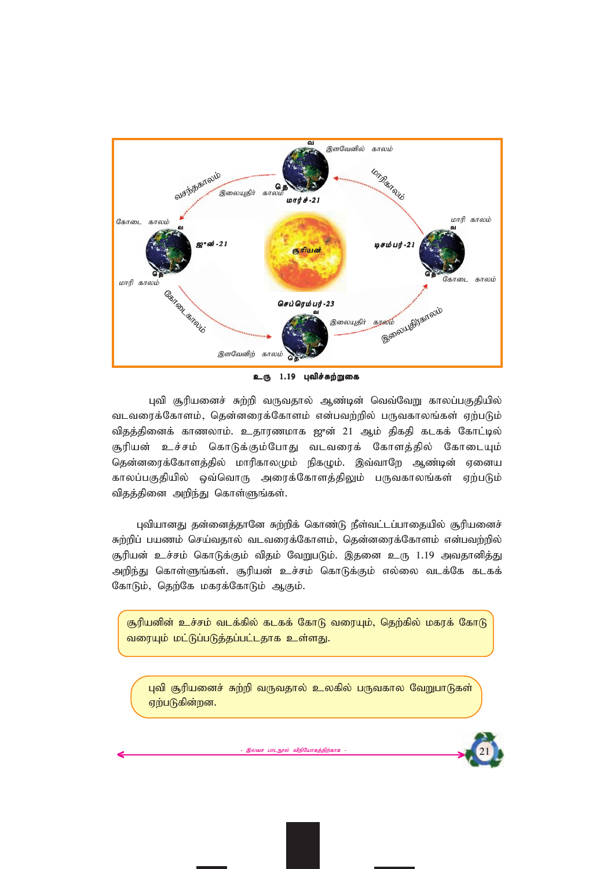

உரு 1.19 புவிச்சுற்றுகை

புவி சூரியனைச் சுற்றி வருவதால் ஆண்டின் வெவ்வேறு காலப்பகுதியில் *tltiuf;Nfhsk;> njd;diuf;Nfhsk; vd;gtw;wpy; gUtfhyq;fs; Vw;gLk;* விதத்தினைக் காணலாம். உதாரணமாக ஜுன் 21 ஆம் திகதி கடகக் கோட்டில் சூரியன் உச்சம் கொடுக்கும்போது வடவரைக் கோளத்தில் கோடையும் தென்னரைக்கோளத்தில் மாரிகாலமும் நிகழும். இவ்வாறே ஆண்டின் ஏனைய காலப்பகுதியில் ஒவ்வொரு அரைக்கோளத்திலும் பருவகாலங்கள் ஏற்படும் விதத்தினை அறிந்து கொள்ளுங்கள்.

புவியானது தன்னைத்தானே சுற்றிக் கொண்டு நீள்வட்டப்பாதையில் சூரியனைச் *Rw;wpg; gazk; nra;tjhy; tltiuf;Nfhsk;> njd;diuf;Nfhsk; vd;gtw;wpy;* சூரியன் உச்சம் கொடுக்கும் விதம் வேறுபடும். இதனை உரு 1.19 அவதானித்து அறிந்து கொள்ளுங்கள். சூரியன் உச்சம் கொடுக்கும் எல்லை வடக்கே கடகக் கோடும், தெற்கே மகரக்கோடும் ஆகும்.

சூரியனின் உச்சம் வடக்கில் கடகக் கோடு வரையும், தெற்கில் மகரக் கோடு வரையும் மட்டுப்படுத்தப்பட்டதாக உள்ளது.

புவி சூரியனைச் சுற்றி வருவதால் உலகில் பருவகால வேறுபாடுகள் ஏற்படுகின்றன.

இலவச பாடநூல் விநியோகத்திற்க

*21*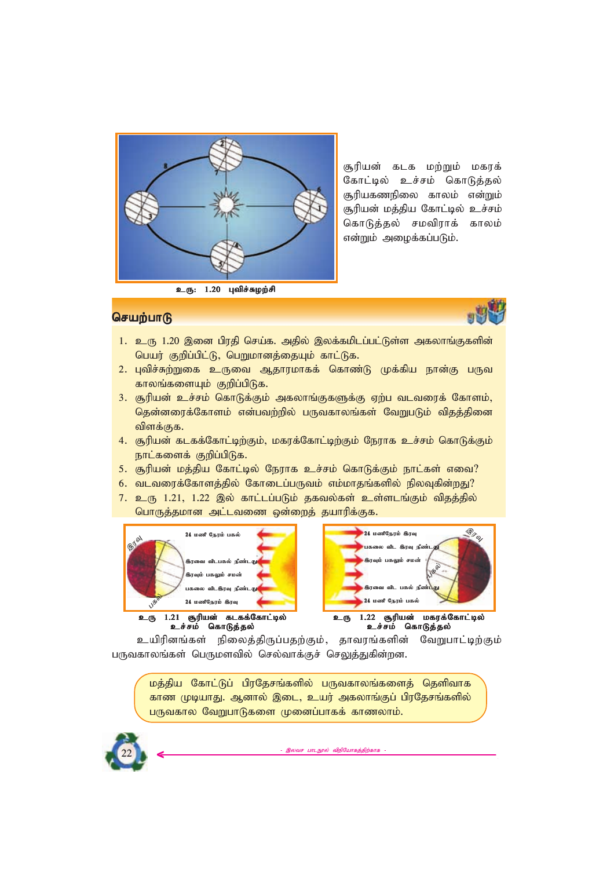

சூரியன் கடக மற்றும் மகரக் கோட்டில் உச்சம் கொடுத்தல் சூரியகணநிலை காலம் என்றும் சூரியன் மத்திய கோட்டில் **உச்சம்** கொடுத்தல் சமவிராக் காலம் என்றும் அழைக்கப்படும்.

# **செயற்பாடு**



- 1. உரு 1.20 இனை பிரதி செய்க. அதில் இலக்கமிடப்பட்டுள்ள அகலாங்குகளின் *ngau; Fwpg;gpl;L> ngWkhdj;ijAk; fhl;Lf.*
- 2. புவிச்சுற்றுகை உருவை ஆதாரமாகக் கொண்டு முக்கிய நான்கு பருவ காலங்களையும் குறிப்பிடுக.
- 3. சூரியன் உச்சம் கொடுக்கும் அகலாங்குகளுக்கு ஏற்ப வடவரைக் கோளம், தென்னரைக்கோளம் என்பவற்றில் பருவகாலங்கள் வேறுபடும் விதத்தினை விளக்குக.
- 4. சூரியன் கடகக்கோட்டிற்கும், மகரக்கோட்டிற்கும் நேராக உச்சம் கொடுக்கும் நாட்களைக் குறிப்பிடுக.
- 5. சூரியன் மத்திய கோட்டில் நேராக உச்சம் கொடுக்கும் நாட்கள் எவை?
- 6. வடவரைக்கோளத்தில் கோடைப்பருவம் எம்மாதங்களில் நிலவுகின்றது?
- 7. உரு 1.21, 1.22 இல் காட்டப்படும் தகவல்கள் உள்ளடங்கும் விதத்தில் *nghUj;jkhd ml;ltiz xd;iwj; jahupf;Ff.*





உயிரினங்கள் நிலைத்திருப்பதற்கும், தாவரங்களின் வேறுபாட்டிற்கும் பருவகாலங்கள் பெருமளவில் செல்வாக்குச் செலுத்துகின்றன.

மத்திய கோட்டுப் பிரதேசங்களில் பருவகாலங்களைத் தெளிவாக காண முடியாது. ஆனால் இடை, உயர் அகலாங்குப் பிரதேசங்களில் பருவகால வேறுபாடுகளை முனைப்பாகக் காணலாம்.

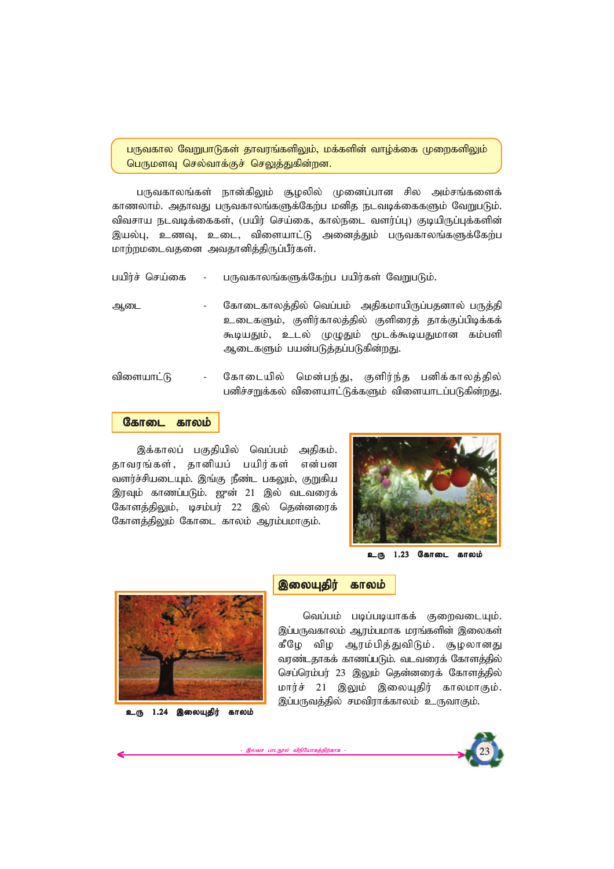பருவகால வேறுபாடுகள் தாவரங்களிலும், மக்களின் வாழ்க்கை முறைகளிலும் *ngUksT nry;thf;Fr; nrYj;Jfpd;wd.*

பருவகாலங்கள் நான்கிலும் சூழலில் முனைப்பான சில அம்சங்களைக் காணலாம். அதாவது பருவகாலங்களுக்கேற்ப மனித நடவடிக்கைகளும் வேறுபடும். விவசாய நடவடிக்கைகள், (பயிர் செய்கை, கால்நடை வளர்ப்பு) குடியிருப்புக்களின் இயல்பு, உணவு, உடை, விளையாட்டு அனைத்தும் பருவகாலங்களுக்கேற்ப *khw;wkiltjid mtjhdpj;jpUg;gPu;fs;.*

- *gapu;r; nra;if - gUtfhyq;fSf;Nfw;g gapu;fs; NtWgLk;.*
- ஆடை கோடைகாலத்தில் வெப்பம் அதிகமாயிருப்பதனால் பருத்தி உடைகளும், குளிர்காலத்தில் குளிரைத் தாக்குப்பிடிக்கக் கூடியதும், உடல் முழுதும் மூடக்கூடியதுமான கம்பளி ஆடைகளும் பயன்படுத்தப்படுகின்றது.
- விளையாட்டு கோடையில் மென்பந்து, குளிர்ந்த பனிக்காலத்தில் பனிச்சறுக்கல் விளையாட்டுக்களும் விளையாடப்படுகின்றது.

#### கோடை காலம்

இக்காலப் பகுதியில் வெப்பம் அதிகம். தாவரங்கள், தானியப் பயிர்கள் என்பன வளர்ச்சியடையும். இங்கு நீண்ட பகலும், குறுகிய இரவும் காணப்படும். ஜுன் 21 இல் வடவரைக் கோளத்திலும், டிசம்பர் 22 இல் தென்னரைக் கோளத்திலும் கோடை காலம் ஆரம்பமாகும்.



உரு 1.23 கோடை காலம்



உரு 1.24 இலையுதிர் காலம்

#### *,iyAjpu; fhyk; ,iyAjpu; fhyk; ,iyAjpu; fhyk;*

இலவச பாடநூல் விநியோகத்திற்காக

*ntg;gk; gbg;gbahff; FiwtilAk;.* இப்பருவகாலம் ஆரம்பமாக மரங்களின் இலைகள் கீழே விழ ஆரம்பித்துவிடும். சூழலானது வரண்டதாகக் காணப்படும். வடவரைக் கோளத்தில் செப்ரெம்பர் 23 இலும் தென்னரைக் கோளத்தில் மார்ச் 21 இலும் இலையுதிர் காலமாகும். இப்பருவத்தில் சமவிராக்காலம் உருவாகும்.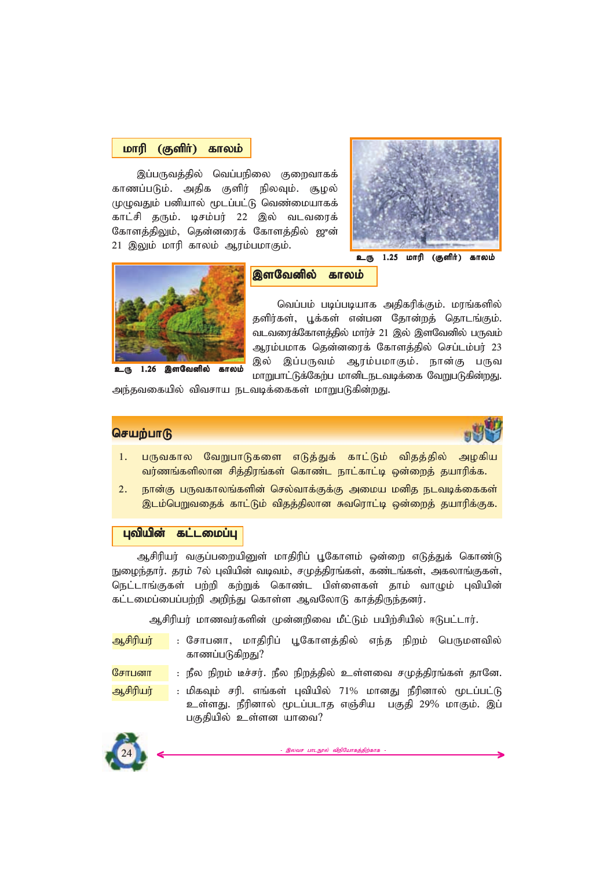#### *khup (Fsph;) fhyk; fhyk; khup (Fsph;) fhyk;*

இப்பருவத்தில் வெப்பநிலை குறைவாகக் காணப்படும். அதிக குளிர் நிலவும். சூழல் முழுவதும் பனியால் மூடப்பட்டு வெண்மையாகக் காட்சி தரும். டிசம்பர் 22 இல் வடவரைக் கோளத்திலும், தென்னரைக் கோளத்தில் ஜுன் 21 இலும் மாரி காலம் ஆரம்பமாகும்.





#### *,sNtdpy; fhyk; ,sNtdpy; fhyk;*

வெப்பம் படிப்படியாக அதிகரிக்கும். மரங்களில் தளிர்கள், பூக்கள் என்பன தோன்றத் தொடங்கும். வடவரைக்கோளத்தில் மார்ச் 21 இல் இளவேனில் பருவம் *Muk;gkhf njd;diuf; Nfhsj;jpy; nrg;lk;gu; 23* இல் இப்பருவம் ஆரம்பமாகும். நான்கு பருவ **மாறுபாட்டுக்கேற்ப மானிடநடவடிக்கை வேறுபடுகின்றது.** 

அந்தவகையில் விவசாய நடவடிக்கைகள் மாறுபடுகின்றது.

#### *செ*யற்பாடு



- 1. பருவகால வேறுபாடுகளை எடுத்துக் காட்டும் விதத்தில் அழகிய வர்ணங்களிலான சித்திரங்கள் கொண்ட நாட்காட்டி ஒன்றைத் தயாரிக்க.
- 2. நான்கு பருவகாலங்களின் செல்வாக்குக்கு அமைய மனித நடவடிக்கைகள் <u>இடம்பெறுவதைக் காட்டும் விதத்திலான சுவரொட்டி ஒன்றைத் தயாரிக்குக.</u>

#### புவியின் கட்டமைப்பு

ஆசிரியர் வகுப்பறையினுள் மாதிரிப் பூகோளம் ஒன்றை எடுத்துக் கொண்டு நுழைந்தார். தரம் 7ல் புவியின் வடிவம், சமுத்திரங்கள், கண்டங்கள், அகலாங்குகள், நெட்டாங்குகள் பற்றி கற்றுக் கொண்ட பிள்ளைகள் தாம் வாழும் புவியின் கட்டமைப்பைப்பற்றி அறிந்து கொள்ள ஆவலோடு காத்திருந்தனர்.

*Mrpupau; khztu;fspd; Kd;dwpit kPl;Lk; gapw;rpapy; <Lgl;lhu;.*

- <mark>ஆசிரியர் : சோப</mark>னா, மாகிரிப் பூகோளக்கில் எந்த நிறம் பெருமளவில் காணப்படுகிறது?
- <mark>சோபனா |</mark> : நீல நிறம் டீச்சர். நீல நிறத்தில் உள்ளவை சமுத்திரங்கள் தானே.

<mark>ஆசிரியர் : மி</mark>கவும் சரி. எங்கள் புவியில் 71% மானது நீரினால் மூடப்பட்டு உள்ளது. நீரினால் மூடப்படாத எஞ்சிய பகுதி 29% மாகும். இப் பகுதியில் உள்ளன யாவை?

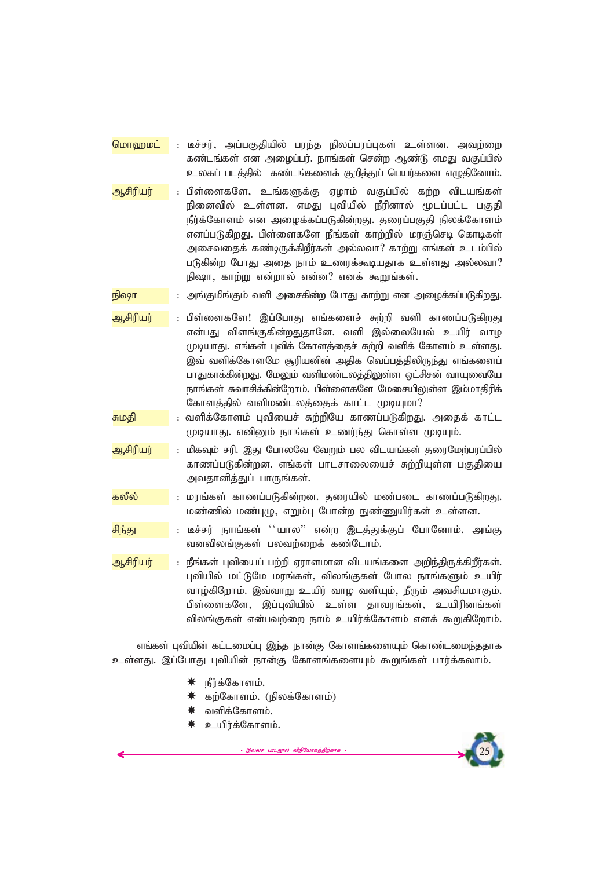<mark>மொறைமட்</mark> : டீச்சர், அப்பகுதியில் பரந்த நிலப்பரப்புகள் உள்ளன. அவற்றை ்கண்டங்கள் என அழைப்பர். நாங்கள் சென்ற ஆண்டு எமது வகுப்பில் உலகப் படத்தில் கண்டங்களைக் குறித்துப் பெயர்களை எழுதினோம்.

<mark>ஆசிரியர் : பிள்ளைகளே, உங்களுக்கு ஏழாம் வகுப்பில் கற்ற விடயங்கள்</mark> நினைவில் உள்ளன. எமது புவியில் நீரினால் மூடப்பட்ட பகுதி நீர்க்கோளம் என அழைக்கப்படுகின்றது. தரைப்பகுதி நிலக்கோளம் *எ*னப்படுகிறது. பிள்ளைகளே நீங்கள் காற்றில் மாஞ்செடி கொடிகள் அசைவதைக் கண்டிருக்கிறீர்கள் அல்லவா? காற்று எங்கள் உடம்பில் படுகின்ற போது அதை நாம் உணரக்கூடியதாக உள்ளது அல்லவா? நிஷா, காற்று என்றால் என்ன? எனக் கூறுங்கள்.

 $\frac{1}{2}$  **நிஷா : அங்குமிங்கும் வளி அசைகின்ற போது காற்று என அழைக்கப்படுகிறது.** 

- <mark>ஆசிரியர் : பிள்ளைகளே! இப்போது எங்களைச் சுற்றி வளி காணப்படுகிறது</mark> என்பது விளங்குகின்றதுதானே. வளி இல்லையேல் உயிர் வாழ முடியாது. எங்கள் புவிக் கோளக்கைச் சுற்றி வளிக் கோளம் உள்ளது. இவ் வளிக்கோளமே சூரியனின் அதிக வெப்பத்திலிருந்து எங்களைப் பாதுகாக்கின்றது. மேலும் வளிமண்டலத்திலுள்ள ஒட்சிசன் வாயுவையே நாங்கள் சுவாசிக்கின்றோம். பிள்ளைகளே மேசையிலுள்ள இம்மாதிரிக் கோளத்தில் வளிமண்டலத்தைக் காட்ட முடியுமா?
- <mark>சுமதி :</mark> வளிக்கோளம் புவியைச் சுற்றியே காணப்படுகிறது. அதைக் காட்ட முடியாது. எனினும் நாங்கள் உணர்ந்து கொள்ள முடியும்.
- <mark>ஆசிரியர் : மிகவும் சரி. இது போலவே வேறும் பல விடயங்கள் தரைமேற்பரப்பில்</mark> காணப்படுகின்றன. எங்கள் பாடசாலையைச் சுற்றியுள்ள பகுதியை அவதானித்துப் பாருங்கள்.
- <mark>கலீல் : மரங்கள் காணப்படுகின்றன. தரையில் மண்படை காணப்படுகிறது.</mark> *kz;zpy; kz;GO> vWk;G Nghd;w Ez;Zapu;fs; cs;sd.*
- ்<mark>சிந்து , அம</mark>ை : டீச்சர் நாங்கள் ''யால'' என்ற இடக்குக்குப் போனோம். அங்கு வனவிலங்குகள் பலவற்றைக் கண்டோம்.
- <mark>ஆசிரியர் : நீங்கள் பவியைப் பற்றி ஏராளமான விடயங்களை அறிந்திருக்கிறீர்கள்.</mark> பவியில் மட்டுமே மாங்கள், விலங்குகள் போல நாங்களும் உயிர் வாழ்கிறோம். இவ்வாறு உயிர் வாழ வளியும், நீரும் அவசியமாகும். பிள்ளைகளே, இப்புவியில் உள்ள தாவரங்கள், உயிரினங்கள் விலங்குகள் என்பவற்றை நாம் உயிர்க்கோளம் எனக் கூறுகிறோம்.

*vq;fs; Gtpapd; fl;likg;G ,e;j ehd;F Nfhsq;fisAk; nfhz;like;jjhf* உள்ளது. இப்போது புவியின் நான்கு கோளங்களையும் கூறுங்கள் பார்க்கலாம்.

- நீர்க்கோளம்.
- கற்கோளம். (நிலக்கோளம்)
- வளிக்கோளம்.
- *capu;f;Nfhsk;.*

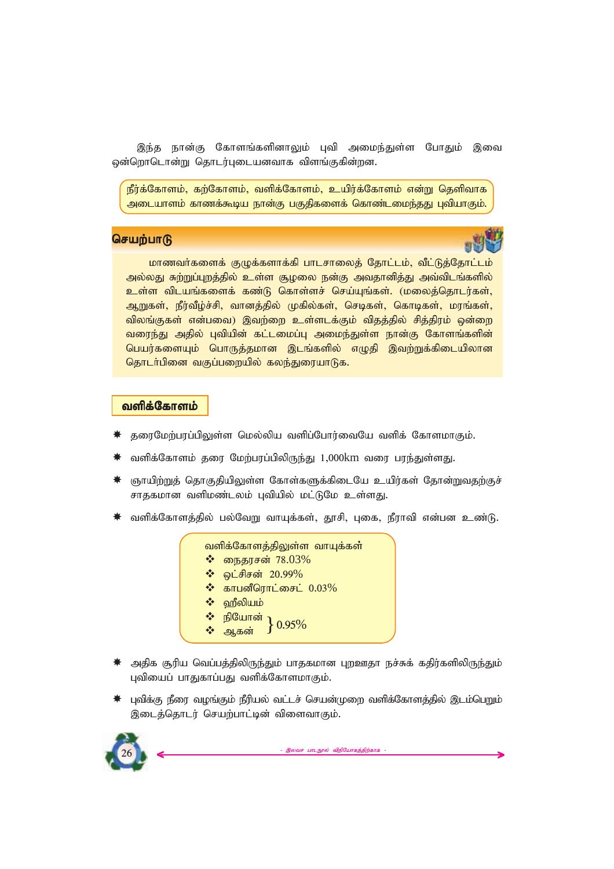இந்த நான்கு கோளங்களினாலும் புவி அமைந்துள்ள போதும் இவை ஒன்றொடொன்று தொடர்புடையனவாக விளங்குகின்றன.

<u>நீர்க்கோளம், கற்கோளம், வளிக்கோளம், உயிர்க்கோளம் என்று தெளிவாக</u> அடையாளம் காணக்கூடிய நான்கு பகுதிகளைக் கொண்டமைந்தது புவியாகும்.

# **செயற்பாடு**



**மாணவர்களைக் குழுக்களாக்கி பாடசாலைத் தோட்டம், வீட்டுத்தோட்டம்** அல்லது சுற்றுப்புறத்தில் உள்ள சூழலை நன்கு அவதானித்து அவ்விடங்களில் <mark>உள்ள விடயங்களைக் கண்டு கொள்ளச் செய்யுங்கள்.</mark> (மலைத்தொடர்கள், ஆறுகள், நீர்வீழ்ச்சி, வானத்தில் முகில்கள், செடிகள், கொடிகள், மரங்கள், விலங்குகள் என்பவை) இவற்றை உள்ளடக்கும் விதத்தில் சித்திரம் ஒன்றை வரைந்து அதில் புவியின் கட்டமைப்பு அமைந்துள்ள நான்கு கோளங்களின் பெயர்களையும் பொருத்தமான இடங்களில் எழுதி இவற்றுக்கிடையிலான தொடர்பினை வகுப்பறையில் கலந்துரையாடுக.

#### **வளிக்கோளம்**

- ்தரைமேற்பரப்பிலுள்ள மெல்லிய வளிப்போர்வையே வளிக் கோளமாகும்.
- வளிக்கோளம் தரை மேற்பரப்பிலிருந்து 1,000km வரை பரந்துள்ளது.
- ஞாயிற்றுத் தொகுதியிலுள்ள கோள்களுக்கிடையே உயிர்கள் தோன்றுவதற்குச் சாதகமான வளிமண்டலம் புவியில் மட்டுமே உள்ளது.
- வளிக்கோளத்தில் பல்வேறு வாயுக்கள், தூசி, புகை, நீராவி என்பன உண்டு.

|   | வளிக்கோளத்திலுள்ள வாயுக்கள்                                         |
|---|---------------------------------------------------------------------|
|   | $\boldsymbol{\hat{P}}$ நைதரசன் 78.03%                               |
|   | • ஒட்சிசன் 20.99%                                                   |
|   | $\textcolor{blue}{\bm{\hat{\mathbf{\hat{v}}}}}$ காபனீரொட்சைட் 0.03% |
| 察 | ஹீலியம்                                                             |
|   | ❖ நியோன் } 0.95%                                                    |
|   |                                                                     |

- $*$  **அதிக சூரிய வெப்பத்திலிருந்தும் பாதகமான புறஊதா நச்சுக் கதிர்களிலிருந்தும்** புவியைப் பாதுகாப்பது வளிக்கோளமாகும்.
- $\,$ ் புவிக்கு நீரை வழங்கும் நீரியல் வட்டச் செயன்முறை வளிக்கோளத்தில் இடம்பெறும் இடைத்தொடர் செயற்பாட்டின் விளைவாகும்.

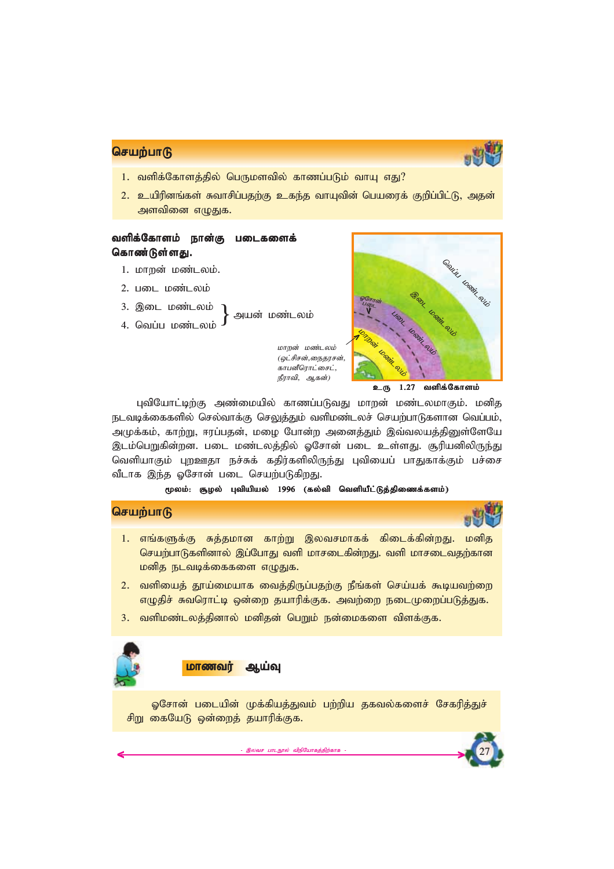

*27*

# **செயற்பாடு**

- 1. வளிக்கோளக்கில் பெருமளவில் காணப்படும் வாய எகு?
- 2. உயிரினங்கள் சுவாசிப்பதற்கு உகந்த வாயுவின் பெயரைக் குறிப்பிட்டு, அதன் அளவினை எழுதுக.

# *tspf;Nfhsk; ehd;F gilfisf; tspf;Nfhsk; ehd;F gilfisf;tspf;Nfhsk; ehd;F*  கொண்டுள்ளது.

- 1. மாறன் மண்டலம்.
- 2. படை மண்டலம்
- 3. இடை மண்டலம்
- 4. வெப்ப மண்டலம்

அயன் மண்டலம்

மாறன் மண்டலம் (ஒட்சிசன்,நைதரசன், .<br>*காபனீரொட்சைட்*, *நீராவி, ஆகன்)* 



உரு 1.27 வளிக்கோளம்

புவியோட்டிற்கு அண்மையில் காணப்படுவது மாறன் மண்டலமாகும். மனித நடவடிக்கைகளில் செல்வாக்கு செலுத்தும் வளிமண்டலச் செயற்பாடுகளான வெப்பம், அமுக்கம், காற்று, ஈரப்பதன், மழை போன்ற அனைத்தும் இவ்வலயத்தினுள்ளேயே இடம்பெறுகின்றன. படை மண்டலத்தில் ஓசோன் படை உள்ளது. சூரியனிலிருந்து வெளியாகும் புறஊதா நச்சுக் கதிர்களிலிருந்து புவியைப் பாதுகாக்கும் பச்சை வீடாக இந்த ஓசோன் படை செயற்படுகிறது.

#### மூலம்: சூழல் புவியியல் 1996 (கல்வி வெளியீட்டுத்திணைக்களம்)

# **செயற்பாடு**

- 1. எங்களுக்கு சுக்கமான காற்று இலவசமாகக் கிடைக்கின்றது. மனித செயற்பாடுகளினால் இப்போது வளி மாசடைகின்றது. வளி மாசடைவதற்கான **மனித நடவடிக்கைகளை எழுதுக.**
- 2. வளியைத் தூய்மையாக வைத்திருப்பதற்கு நீங்கள் செய்யக் கூடியவற்றை எழுதிச் சுவரொட்டி ஒன்றை தயாரிக்குக. அவற்றை நடைமுறைப்படுத்துக.
- 3. வளிமண்டலத்தினால் மனிதன் பெறும் நன்மைகளை விளக்குக.



#### **மாணவர் ஆய்வு**

ஓசோன் படையின் முக்கியத்துவம் பற்றிய தகவல்களைச் சேகரித்துச் சிறு கையேடு ஒன்றைத் தயாரிக்குக.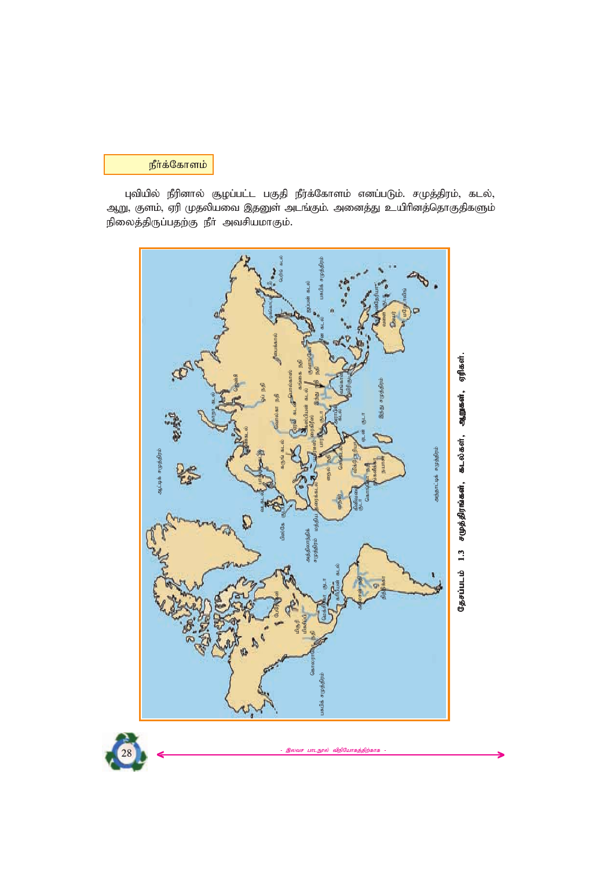# நீர்க்கோளம்

புவியில் நீரினால் சூழப்பட்ட பகுதி நீர்க்கோளம் எனப்படும். சமுத்திரம், கடல், ஆறு, குளம், ஏரி முதலியவை இதனுள் அடங்கும். அனைத்து உயிரினத்தொகுதிகளும் .<br>நிலைத்திருப்பதற்கு நீா் அவசியமாகும்.



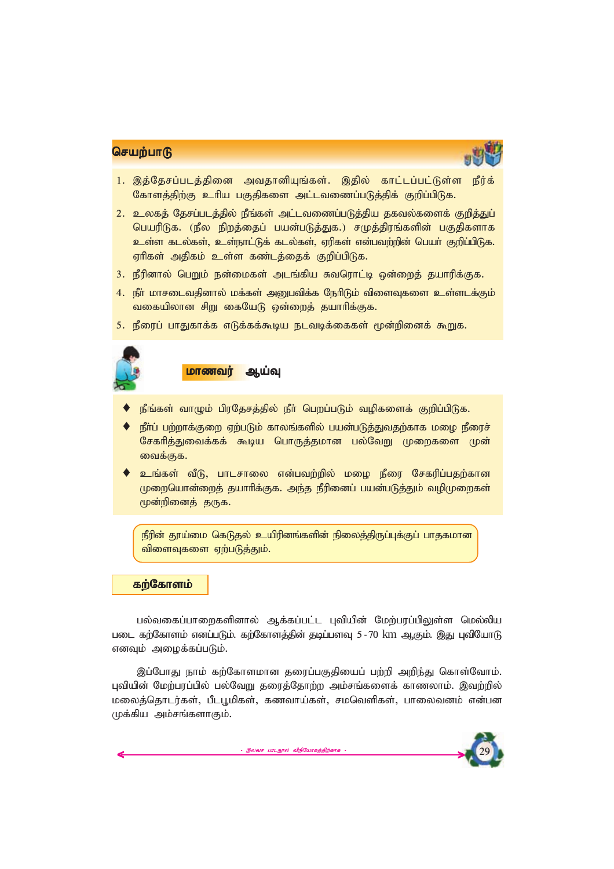

*29*

- 1. இத்தேசப்படத்தினை அவதானியுங்கள். இதில் காட்டப்பட்டுள்ள நீர்க் கோளத்திற்கு உரிய பகுதிகளை அட்டவணைப்படுத்திக் குறிப்பிடுக.
- 2. உலகத் தேசப்படத்தில் நீங்கள் அட்டவணைப்படுத்திய தகவல்களைக் குறித்துப் பெயரிடுக. (நீல நிறத்தைப் பயன்படுத்துக.) சமுத்திரங்களின் பகுதிகளாக உள்ள கடல்கள், உள்நாட்டுக் கடல்கள், ஏரிகள் என்பவற்றின் பெயா் குறிப்பிடுக. ஏரிகள் அதிகம் உள்ள கண்டத்தைக் குறிப்பிடுக.
- 3. நீரினால் பெறும் நன்மைகள் அடங்கிய சுவரொட்டி ஒன்றைத் தயாரிக்குக.
- <u>4. நீா் மாசடைவதினால் மக்கள் அனுபவிக்க நேரிடும் விளைவுகளை உள்ளடக்கும்</u> வகையிலான சிறு கையேடு ஒன்றைத் தயாரிக்குக.
- 5. நீரைப் பாதுகாக்க எடுக்கக்கூடிய நடவடிக்கைகள் மூன்றினைக் கூறுக.



#### <mark>மாணவர் ஆய்வு</mark>

- நீங்கள் வாழும் பிரதேசத்தில் நீர் பெறப்படும் வழிகளைக் குறிப்பிடுக.
- ் நீா்ப் பற்றாக்குறை ஏற்படும் காலங்களில் பயன்படுத்துவதற்காக மழை நீரைச் சேகரித்துவைக்கக் கூடிய பொருத்தமான பல்வேறு முறைகளை முன் வைக்குக.
- ் உங்கள் வீடு, பாடசாலை என்பவற்றில் மழை நீரை சேகரிப்பதற்கான முறையொன்றைத் தயாரிக்குக. அந்த நீரினைப் பயன்படுத்தும் வழிமுறைகள் *%d;wpidj; jUf.*

நீரின் தூய்மை கெடுதல் உயிரினங்களின் நிலைத்திருப்புக்குப் பாதகமான **விளைவுகளை** ஏற்படுத்தும்.

# *fw;Nfhsk; fw;Nfhsk; fw;Nfhsk;*

பல்வகைப்பாறைகளினால் ஆக்கப்பட்ட புவியின் மேற்பரப்பிலுள்ள மெல்லிய *gil fw;Nfhsk; vdg;gLk;. fw;Nfhsj;jpd; jbg;gsT 5 - 70* km *MFk;. ,J GtpNahL* எனவும் அழைக்கப்படும்.

*,g;NghJ ehk; fw;Nfhskhd jiug;gFjpiag; gw;wp mwpe;J nfhs;Nthk;.* புவியின் மேற்பரப்பில் பல்வேறு தரைத்தோற்ற அம்சங்களைக் காணலாம். இவற்றில் *kiyj;njhlu;fs;> gPlG+kpfs;> fztha;fs;> rkntspfs;> ghiytdk; vd;gd* முக்கிய அம்சங்களாகும்.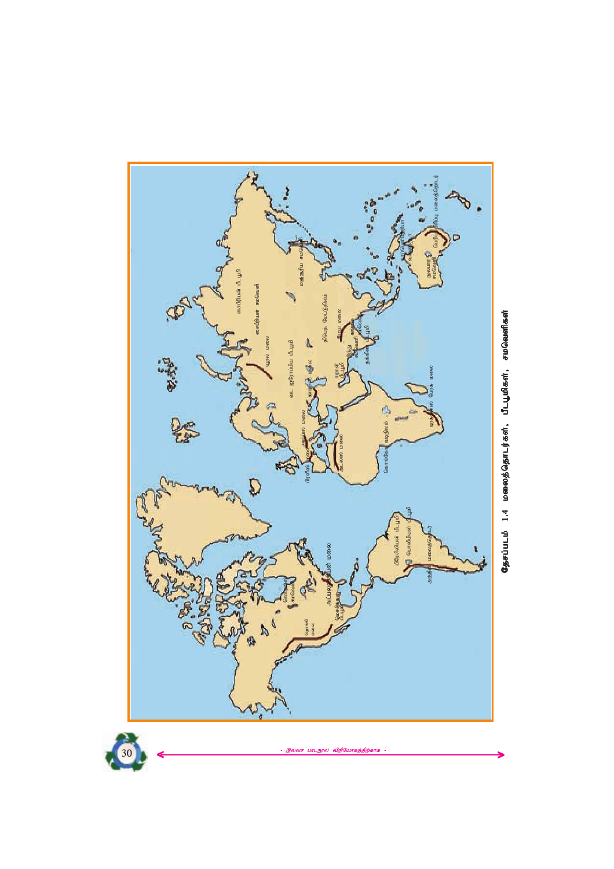





.<br>இலவச பாட<mark>ந</mark>ூல் விநியோகத்திற்காக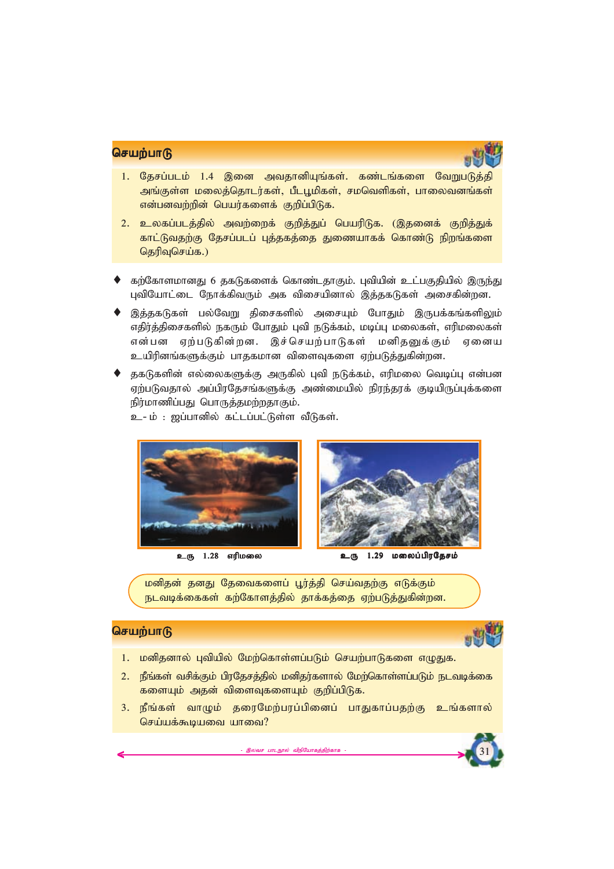

- 1. தேசப்படம் 1.4 இனை அவதானியுங்கள். கண்டங்களை வேறுபடுத்தி அங்குள்ள மலைத்தொடர்கள், பீடபூமிகள், சமவெளிகள், பாலைவனங்கள் என்பனவற்றின் பெயர்களைக் குறிப்பிடுக.
- 2. உலகப்படத்தில் அவற்றைக் குறித்துப் பெயரிடுக. (இதனைக் குறித்துக் காட்டுவதற்கு தேசப்படப் புத்தகத்தை துணையாகக் கொண்டு நிறங்களை *njupTnra;f.)*
- கற்கோளமானது 6 தகடுகளைக் கொண்டதாகும். பவியின் உட்பகுதியில் இருந்து புவியோட்டை நோக்கிவரும் அக விசையினால் இத்தகடுகள் அசைகின்றன.
- இத்தகடுகள் பல்வேறு திசைகளில் அசையும் போதும் இருபக்கங்களிலும் எதிர்த்திசைகளில் நகரும் போதும் புவி நடுக்கம், மடிப்பு மலைகள், எரிமலைகள் என்பன ஏற்படுகின்றன. இச்செயற்பாடுகள் மனி<u>தனு</u>க்கும் ஏனைய உயிரினங்களுக்கும் பாதகமான விளைவுகளை ஏற்படுத்துகின்றன.
- தகடுகளின் எல்லைகளுக்கு அருகில் புவி நடுக்கம், எரிமலை வெடிப்பு என்பன ஏற்படுவதால் அப்பிரதேசங்களுக்கு அண்மையில் நிரந்தரக் குடியிருப்புக்களை நிர்மாணிப்பது பொருத்தமற்றதாகும்.

உ- ம் : ஜப்பானில் கட்டப்பட்டுள்ள வீடுகள்.



மனிதன் தனது தேவைகளைப் பூர்த்தி செய்வதற்கு எடுக்கும் நடவடிக்கைகள் கற்கோளத்தில் தாக்கத்தை ஏற்படுத்துகின்றன.

# **செயற்பாடு**



*31*

- 1. **மனிதனால் புவியில் மேற்கொள்ளப்படும் செயற்பாடுகளை எழுதுக.**
- 2. நீங்கள் வசிக்கும் பிரதேசத்தில் மனிதர்களால் மேற்கொள்ளப்படும் நடவடிக்கை களையும் அதன் விளைவுகளையும் குறிப்பிடுக.
- 3. நீங்கள் வாழும் தரைமேற்பரப்பினைப் பாதுகாப்பதற்கு உங்களால் செய்யக்கூடியவை யாவை?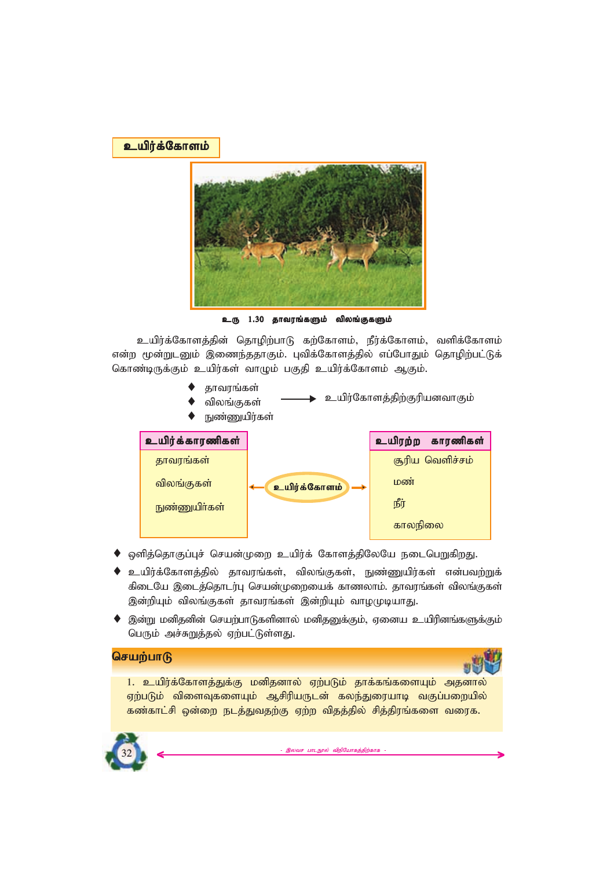*capu;f;Nfhsk; capu;f;Nfhsk; capu;f;Nfhsk;*



 $\underline{\mathfrak{s}}$ டரு 1.30 தாவரங்களும் விலங்குகளும்

உயிர்க்கோளத்தின் தொழிற்பாடு கற்கோளம், நீர்க்கோளம், வளிக்கோளம் என்ற மூன்றுடனும் இணைந்ததாகும். புவிக்கோளத்தில் எப்போதும் தொழிற்பட்டுக் கொண்டிருக்கும் உயிர்கள் வாழும் பகுதி உயிர்க்கோளம் ஆகும்.

- ♦ *jhtuq;fs;*
- உயிர்கோளத்திற்குரியனவாகும் விலங்குகள்
- நுண்ணுயிர்கள்



- ♦ ஒளித்தொகுப்புச் செயன்முறை உயிர்க் கோளத்திலேயே நடைபெறுகிறது.
- ♦ உயிர்க்கோளத்தில் தாவரங்கள், விலங்குகள், நுண்ணுயிர்கள் என்பவற்றுக் கிடையே இடைத்தொடர்பு செயன்முறையைக் காணலாம். தாவரங்கள் விலங்குகள் இன்றியும் விலங்குகள் தாவரங்கள் இன்றியும் வாழமுடியாது.
- ♦ இன்று மனிதனின் செயற்பாடுகளினால் மனிதனுக்கும், ஏனைய உயிரினங்களுக்கும் பெரும் அச்சுறுத்தல் ஏற்பட்டுள்ளது.

# **செயற்பாடு**



1. உயிர்க்கோளத்துக்கு மனிதனால் ஏற்படும் தாக்கங்களையும் அதனால் ஏற்படும் விளைவுகளையும் ஆசிரியருடன் கலந்துரையாடி வகுப்பறையில் கண்காட்சி ஒன்றை நடத்துவதற்கு ஏற்ற விதத்தில் சித்திரங்களை வரைக.